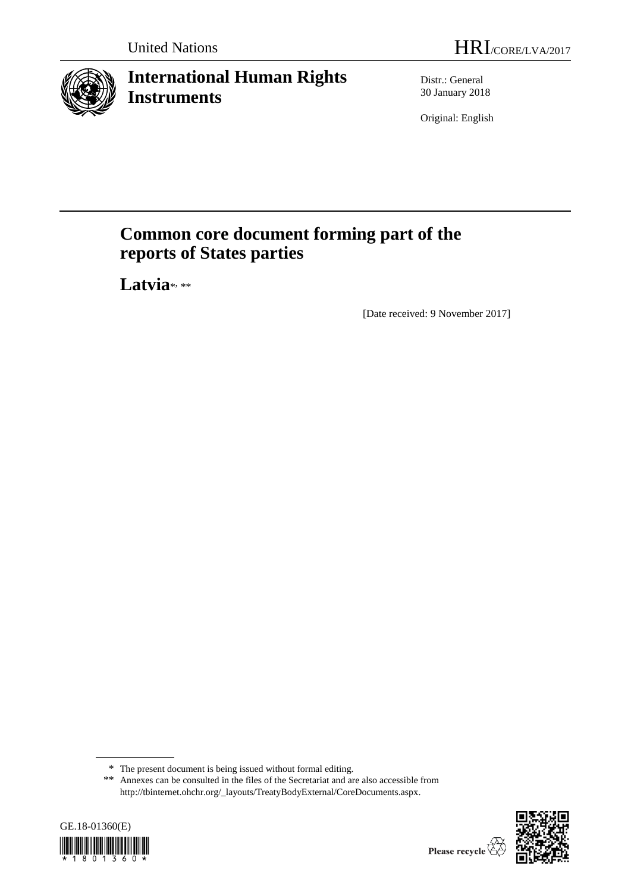

# **International Human Rights Instruments**

Distr.: General 30 January 2018

Original: English

# **Common core document forming part of the reports of States parties**

Latvia<sup>\*</sup>

[Date received: 9 November 2017]

<sup>\*\*</sup> Annexes can be consulted in the files of the Secretariat and are also accessible from [http://tbinternet.ohchr.org/\\_layouts/TreatyBodyExternal/CoreDocuments.aspx.](http://tbinternet.ohchr.org/_layouts/TreatyBodyExternal/CoreDocuments.aspx)





<sup>\*</sup> The present document is being issued without formal editing.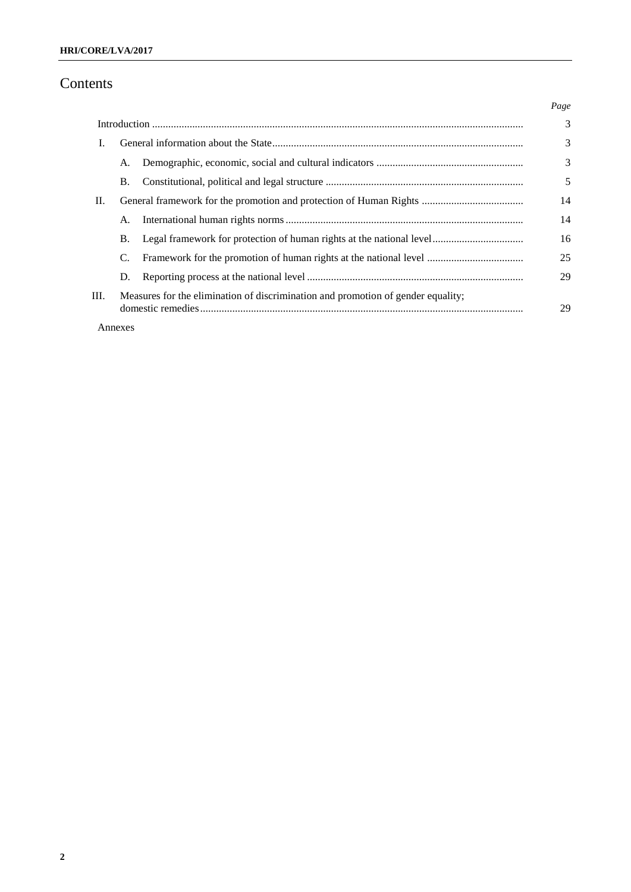## Contents

|      |                                                                                  |                                                                      | Page |
|------|----------------------------------------------------------------------------------|----------------------------------------------------------------------|------|
|      |                                                                                  |                                                                      | 3    |
| L    |                                                                                  |                                                                      | 3    |
|      | А.                                                                               |                                                                      | 3    |
|      | Β.                                                                               |                                                                      | 5    |
| П.   |                                                                                  |                                                                      | 14   |
|      | A.                                                                               |                                                                      | 14   |
|      | Β.                                                                               | Legal framework for protection of human rights at the national level | 16   |
|      | C.                                                                               |                                                                      | 25   |
|      | D.                                                                               |                                                                      | 29   |
| III. | Measures for the elimination of discrimination and promotion of gender equality; |                                                                      | 29   |
|      | Annexes                                                                          |                                                                      |      |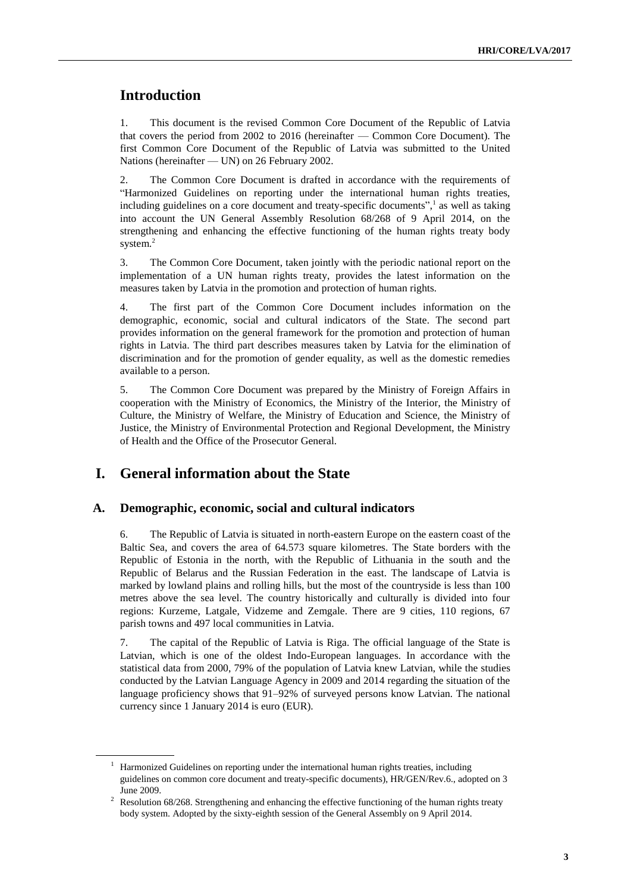## **Introduction**

1. This document is the revised Common Core Document of the Republic of Latvia that covers the period from 2002 to 2016 (hereinafter — Common Core Document). The first Common Core Document of the Republic of Latvia was submitted to the United Nations (hereinafter — UN) on 26 February 2002.

2. The Common Core Document is drafted in accordance with the requirements of "Harmonized Guidelines on reporting under the international human rights treaties, including guidelines on a core document and treaty-specific documents", 1 as well as taking into account the UN General Assembly Resolution 68/268 of 9 April 2014, on the strengthening and enhancing the effective functioning of the human rights treaty body system.<sup>2</sup>

3. The Common Core Document, taken jointly with the periodic national report on the implementation of a UN human rights treaty, provides the latest information on the measures taken by Latvia in the promotion and protection of human rights.

4. The first part of the Common Core Document includes information on the demographic, economic, social and cultural indicators of the State. The second part provides information on the general framework for the promotion and protection of human rights in Latvia. The third part describes measures taken by Latvia for the elimination of discrimination and for the promotion of gender equality, as well as the domestic remedies available to a person.

5. The Common Core Document was prepared by the Ministry of Foreign Affairs in cooperation with the Ministry of Economics, the Ministry of the Interior, the Ministry of Culture, the Ministry of Welfare, the Ministry of Education and Science, the Ministry of Justice, the Ministry of Environmental Protection and Regional Development, the Ministry of Health and the Office of the Prosecutor General.

## **I. General information about the State**

#### **A. Demographic, economic, social and cultural indicators**

6. The Republic of Latvia is situated in north-eastern Europe on the eastern coast of the Baltic Sea, and covers the area of 64.573 square kilometres. The State borders with the Republic of Estonia in the north, with the Republic of Lithuania in the south and the Republic of Belarus and the Russian Federation in the east. The landscape of Latvia is marked by lowland plains and rolling hills, but the most of the countryside is less than 100 metres above the sea level. The country historically and culturally is divided into four regions: Kurzeme, Latgale, Vidzeme and Zemgale. There are 9 cities, 110 regions, 67 parish towns and 497 local communities in Latvia.

7. The capital of the Republic of Latvia is Riga. The official language of the State is Latvian, which is one of the oldest Indo-European languages. In accordance with the statistical data from 2000, 79% of the population of Latvia knew Latvian, while the studies conducted by the Latvian Language Agency in 2009 and 2014 regarding the situation of the language proficiency shows that 91–92% of surveyed persons know Latvian. The national currency since 1 January 2014 is euro (EUR).

 $1$  Harmonized Guidelines on reporting under the international human rights treaties, including guidelines on common core document and treaty-specific documents), HR/GEN/Rev.6., adopted on 3 June 2009.

<sup>&</sup>lt;sup>2</sup> Resolution 68/268. Strengthening and enhancing the effective functioning of the human rights treaty body system. Adopted by the sixty-eighth session of the General Assembly on 9 April 2014.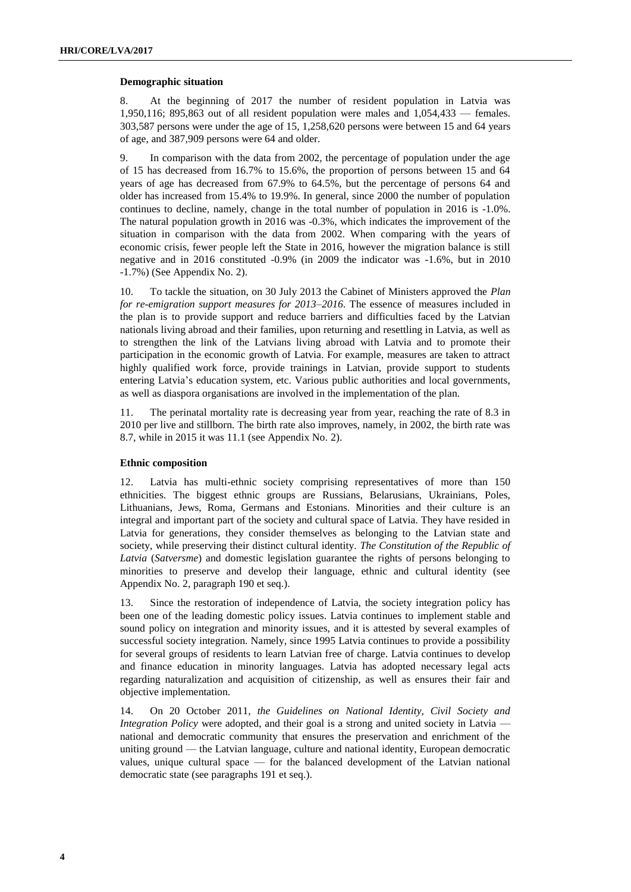#### **Demographic situation**

8. At the beginning of 2017 the number of resident population in Latvia was 1,950,116; 895,863 out of all resident population were males and 1,054,433 — females. 303,587 persons were under the age of 15, 1,258,620 persons were between 15 and 64 years of age, and 387,909 persons were 64 and older.

9. In comparison with the data from 2002, the percentage of population under the age of 15 has decreased from 16.7% to 15.6%, the proportion of persons between 15 and 64 years of age has decreased from 67.9% to 64.5%, but the percentage of persons 64 and older has increased from 15.4% to 19.9%. In general, since 2000 the number of population continues to decline, namely, change in the total number of population in 2016 is -1.0%. The natural population growth in 2016 was -0.3%, which indicates the improvement of the situation in comparison with the data from 2002. When comparing with the years of economic crisis, fewer people left the State in 2016, however the migration balance is still negative and in 2016 constituted -0.9% (in 2009 the indicator was -1.6%, but in 2010 -1.7%) (See Appendix No. 2).

10. To tackle the situation, on 30 July 2013 the Cabinet of Ministers approved the *Plan for re-emigration support measures for 2013–2016*. The essence of measures included in the plan is to provide support and reduce barriers and difficulties faced by the Latvian nationals living abroad and their families, upon returning and resettling in Latvia, as well as to strengthen the link of the Latvians living abroad with Latvia and to promote their participation in the economic growth of Latvia. For example, measures are taken to attract highly qualified work force, provide trainings in Latvian, provide support to students entering Latvia's education system, etc. Various public authorities and local governments, as well as diaspora organisations are involved in the implementation of the plan.

11. The perinatal mortality rate is decreasing year from year, reaching the rate of 8.3 in 2010 per live and stillborn. The birth rate also improves, namely, in 2002, the birth rate was 8.7, while in 2015 it was 11.1 (see Appendix No. 2).

#### **Ethnic composition**

12. Latvia has multi-ethnic society comprising representatives of more than 150 ethnicities. The biggest ethnic groups are Russians, Belarusians, Ukrainians, Poles, Lithuanians, Jews, Roma, Germans and Estonians. Minorities and their culture is an integral and important part of the society and cultural space of Latvia. They have resided in Latvia for generations, they consider themselves as belonging to the Latvian state and society, while preserving their distinct cultural identity. *The Constitution of the Republic of Latvia* (*Satversme*) and domestic legislation guarantee the rights of persons belonging to minorities to preserve and develop their language, ethnic and cultural identity (see Appendix No. 2, paragraph 190 et seq.).

13. Since the restoration of independence of Latvia, the society integration policy has been one of the leading domestic policy issues. Latvia continues to implement stable and sound policy on integration and minority issues, and it is attested by several examples of successful society integration. Namely, since 1995 Latvia continues to provide a possibility for several groups of residents to learn Latvian free of charge. Latvia continues to develop and finance education in minority languages. Latvia has adopted necessary legal acts regarding naturalization and acquisition of citizenship, as well as ensures their fair and objective implementation.

14. On 20 October 2011, *the Guidelines on National Identity, Civil Society and Integration Policy* were adopted, and their goal is a strong and united society in Latvia national and democratic community that ensures the preservation and enrichment of the uniting ground — the Latvian language, culture and national identity, European democratic values, unique cultural space — for the balanced development of the Latvian national democratic state (see paragraphs 191 et seq.).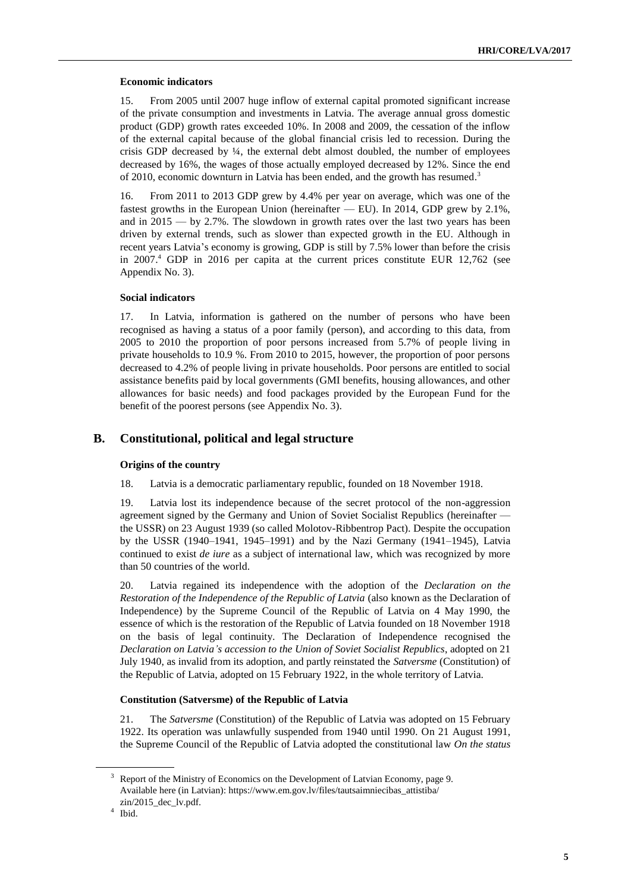#### **Economic indicators**

15. From 2005 until 2007 huge inflow of external capital promoted significant increase of the private consumption and investments in Latvia. The average annual gross domestic product (GDP) growth rates exceeded 10%. In 2008 and 2009, the cessation of the inflow of the external capital because of the global financial crisis led to recession. During the crisis GDP decreased by  $\frac{1}{4}$ , the external debt almost doubled, the number of employees decreased by 16%, the wages of those actually employed decreased by 12%. Since the end of 2010, economic downturn in Latvia has been ended, and the growth has resumed.<sup>3</sup>

16. From 2011 to 2013 GDP grew by 4.4% per year on average, which was one of the fastest growths in the European Union (hereinafter — EU). In 2014, GDP grew by 2.1%, and in 2015 — by 2.7%. The slowdown in growth rates over the last two years has been driven by external trends, such as slower than expected growth in the EU. Although in recent years Latvia's economy is growing, GDP is still by 7.5% lower than before the crisis in 2007. <sup>4</sup> GDP in 2016 per capita at the current prices constitute EUR 12,762 (see Appendix No. 3).

#### **Social indicators**

17. In Latvia, information is gathered on the number of persons who have been recognised as having a status of a poor family (person), and according to this data, from 2005 to 2010 the proportion of poor persons increased from 5.7% of people living in private households to 10.9 %. From 2010 to 2015, however, the proportion of poor persons decreased to 4.2% of people living in private households. Poor persons are entitled to social assistance benefits paid by local governments (GMI benefits, housing allowances, and other allowances for basic needs) and food packages provided by the European Fund for the benefit of the poorest persons (see Appendix No. 3).

#### **B. Constitutional, political and legal structure**

#### **Origins of the country**

18. Latvia is a democratic parliamentary republic, founded on 18 November 1918.

19. Latvia lost its independence because of the secret protocol of the non-aggression agreement signed by the Germany and Union of Soviet Socialist Republics (hereinafter the USSR) on 23 August 1939 (so called Molotov-Ribbentrop Pact). Despite the occupation by the USSR (1940–1941, 1945–1991) and by the Nazi Germany (1941–1945), Latvia continued to exist *de iure* as a subject of international law, which was recognized by more than 50 countries of the world.

20. Latvia regained its independence with the adoption of the *Declaration on the Restoration of the Independence of the Republic of Latvia* (also known as the Declaration of Independence) by the Supreme Council of the Republic of Latvia on 4 May 1990, the essence of which is the restoration of the Republic of Latvia founded on 18 November 1918 on the basis of legal continuity. The Declaration of Independence recognised the *Declaration on Latvia's accession to the Union of Soviet Socialist Republics*, adopted on 21 July 1940, as invalid from its adoption, and partly reinstated the *Satversme* (Constitution) of the Republic of Latvia, adopted on 15 February 1922, in the whole territory of Latvia.

#### **Constitution (Satversme) of the Republic of Latvia**

21. The *Satversme* (Constitution) of the Republic of Latvia was adopted on 15 February 1922. Its operation was unlawfully suspended from 1940 until 1990. On 21 August 1991, the Supreme Council of the Republic of Latvia adopted the constitutional law *On the status* 

<sup>&</sup>lt;sup>3</sup> Report of the Ministry of Economics on the Development of Latvian Economy, page 9. Available here (in Latvian): [https://www.em.gov.lv/files/tautsaimniecibas\\_attistiba/](https://www.em.gov.lv/files/tautsaimniecibas_attistiba/zin/2015_dec_lv.pdf) [zin/2015\\_dec\\_lv.pdf.](https://www.em.gov.lv/files/tautsaimniecibas_attistiba/zin/2015_dec_lv.pdf)

<sup>4</sup> Ibid.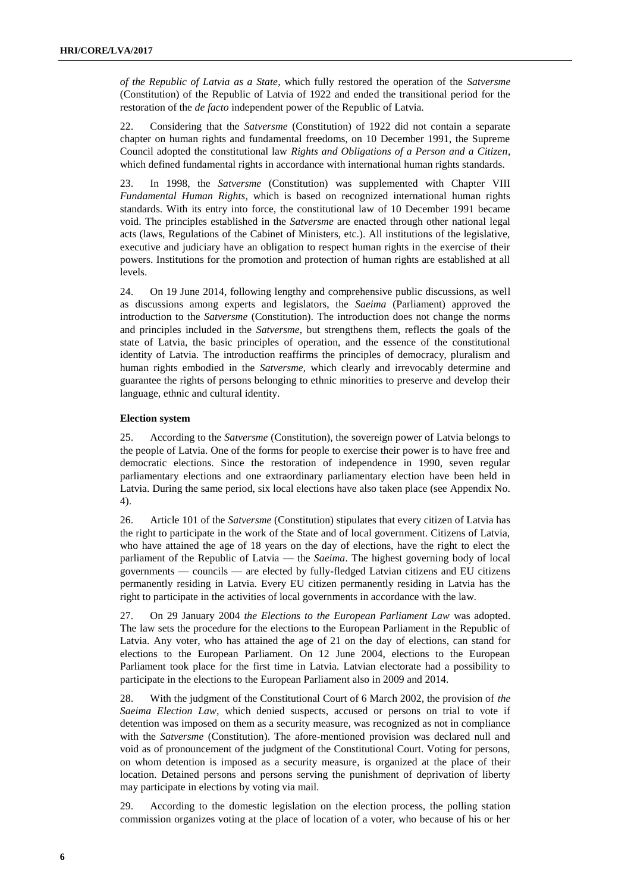*of the Republic of Latvia as a State*, which fully restored the operation of the *Satversme* (Constitution) of the Republic of Latvia of 1922 and ended the transitional period for the restoration of the *de facto* independent power of the Republic of Latvia*.* 

22. Considering that the *Satversme* (Constitution) of 1922 did not contain a separate chapter on human rights and fundamental freedoms, on 10 December 1991, the Supreme Council adopted the constitutional law *Rights and Obligations of a Person and a Citizen*, which defined fundamental rights in accordance with international human rights standards.

23. In 1998, the *Satversme* (Constitution) was supplemented with Chapter VIII *Fundamental Human Rights*, which is based on recognized international human rights standards. With its entry into force, the constitutional law of 10 December 1991 became void. The principles established in the *Satversme* are enacted through other national legal acts (laws, Regulations of the Cabinet of Ministers, etc.). All institutions of the legislative, executive and judiciary have an obligation to respect human rights in the exercise of their powers. Institutions for the promotion and protection of human rights are established at all levels.

24. On 19 June 2014, following lengthy and comprehensive public discussions, as well as discussions among experts and legislators, the *Saeima* (Parliament) approved the introduction to the *Satversme* (Constitution). The introduction does not change the norms and principles included in the *Satversme*, but strengthens them, reflects the goals of the state of Latvia, the basic principles of operation, and the essence of the constitutional identity of Latvia. The introduction reaffirms the principles of democracy, pluralism and human rights embodied in the *Satversme*, which clearly and irrevocably determine and guarantee the rights of persons belonging to ethnic minorities to preserve and develop their language, ethnic and cultural identity.

#### **Election system**

25. According to the *Satversme* (Constitution), the sovereign power of Latvia belongs to the people of Latvia. One of the forms for people to exercise their power is to have free and democratic elections. Since the restoration of independence in 1990, seven regular parliamentary elections and one extraordinary parliamentary election have been held in Latvia. During the same period, six local elections have also taken place (see Appendix No. 4).

26. Article 101 of the *Satversme* (Constitution) stipulates that every citizen of Latvia has the right to participate in the work of the State and of local government. Citizens of Latvia, who have attained the age of 18 years on the day of elections, have the right to elect the parliament of the Republic of Latvia — the *Saeima*. The highest governing body of local governments — councils — are elected by fully-fledged Latvian citizens and EU citizens permanently residing in Latvia. Every EU citizen permanently residing in Latvia has the right to participate in the activities of local governments in accordance with the law.

27. On 29 January 2004 *the Elections to the European Parliament Law* was adopted. The law sets the procedure for the elections to the European Parliament in the Republic of Latvia. Any voter, who has attained the age of 21 on the day of elections, can stand for elections to the European Parliament. On 12 June 2004, elections to the European Parliament took place for the first time in Latvia. Latvian electorate had a possibility to participate in the elections to the European Parliament also in 2009 and 2014.

28. With the judgment of the Constitutional Court of 6 March 2002, the provision of *the Saeima Election Law*, which denied suspects, accused or persons on trial to vote if detention was imposed on them as a security measure, was recognized as not in compliance with the *Satversme* (Constitution). The afore-mentioned provision was declared null and void as of pronouncement of the judgment of the Constitutional Court. Voting for persons, on whom detention is imposed as a security measure, is organized at the place of their location. Detained persons and persons serving the punishment of deprivation of liberty may participate in elections by voting via mail.

29. According to the domestic legislation on the election process, the polling station commission organizes voting at the place of location of a voter, who because of his or her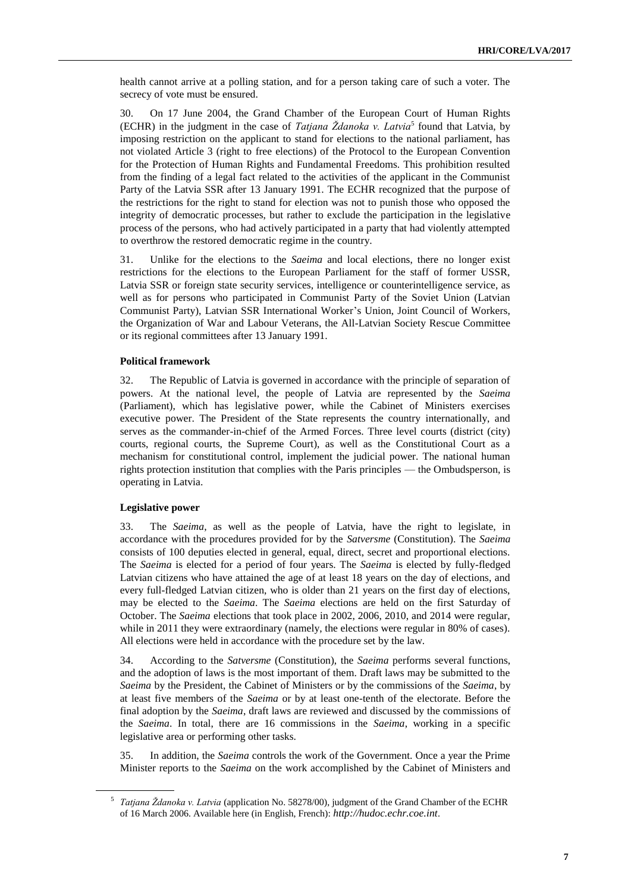health cannot arrive at a polling station, and for a person taking care of such a voter. The secrecy of vote must be ensured.

30. On 17 June 2004, the Grand Chamber of the European Court of Human Rights (ECHR) in the judgment in the case of *Tatjana Ždanoka v. Latvia*<sup>5</sup> found that Latvia, by imposing restriction on the applicant to stand for elections to the national parliament, has not violated Article 3 (right to free elections) of the Protocol to the European Convention for the Protection of Human Rights and Fundamental Freedoms. This prohibition resulted from the finding of a legal fact related to the activities of the applicant in the Communist Party of the Latvia SSR after 13 January 1991. The ECHR recognized that the purpose of the restrictions for the right to stand for election was not to punish those who opposed the integrity of democratic processes, but rather to exclude the participation in the legislative process of the persons, who had actively participated in a party that had violently attempted to overthrow the restored democratic regime in the country.

31. Unlike for the elections to the *Saeima* and local elections, there no longer exist restrictions for the elections to the European Parliament for the staff of former USSR, Latvia SSR or foreign state security services, intelligence or counterintelligence service, as well as for persons who participated in Communist Party of the Soviet Union (Latvian Communist Party), Latvian SSR International Worker's Union, Joint Council of Workers, the Organization of War and Labour Veterans, the All-Latvian Society Rescue Committee or its regional committees after 13 January 1991.

#### **Political framework**

32. The Republic of Latvia is governed in accordance with the principle of separation of powers. At the national level, the people of Latvia are represented by the *Saeima* (Parliament), which has legislative power, while the Cabinet of Ministers exercises executive power. The President of the State represents the country internationally, and serves as the commander-in-chief of the Armed Forces. Three level courts (district (city) courts, regional courts, the Supreme Court), as well as the Constitutional Court as a mechanism for constitutional control, implement the judicial power. The national human rights protection institution that complies with the Paris principles — the Ombudsperson, is operating in Latvia.

#### **Legislative power**

33. The *Saeima*, as well as the people of Latvia, have the right to legislate, in accordance with the procedures provided for by the *Satversme* (Constitution). The *Saeima* consists of 100 deputies elected in general, equal, direct, secret and proportional elections. The *Saeima* is elected for a period of four years. The *Saeima* is elected by fully-fledged Latvian citizens who have attained the age of at least 18 years on the day of elections, and every full-fledged Latvian citizen, who is older than 21 years on the first day of elections, may be elected to the *Saeima*. The *Saeima* elections are held on the first Saturday of October. The *Saeima* elections that took place in 2002, 2006, 2010, and 2014 were regular, while in 2011 they were extraordinary (namely, the elections were regular in 80% of cases). All elections were held in accordance with the procedure set by the law.

34. According to the *Satversme* (Constitution), the *Saeima* performs several functions, and the adoption of laws is the most important of them. Draft laws may be submitted to the *Saeima* by the President, the Cabinet of Ministers or by the commissions of the *Saeima*, by at least five members of the *Saeima* or by at least one-tenth of the electorate. Before the final adoption by the *Saeima*, draft laws are reviewed and discussed by the commissions of the *Saeima*. In total, there are 16 commissions in the *Saeima*, working in a specific legislative area or performing other tasks.

35. In addition, the *Saeima* controls the work of the Government. Once a year the Prime Minister reports to the *Saeima* on the work accomplished by the Cabinet of Ministers and

<sup>&</sup>lt;sup>5</sup> Tatjana Ždanoka v. Latvia (application No. 58278/00), judgment of the Grand Chamber of the ECHR of 16 March 2006. Available here (in English, French): *[http://hudoc.echr.coe.int](http://hudoc.echr.coe.int/)*.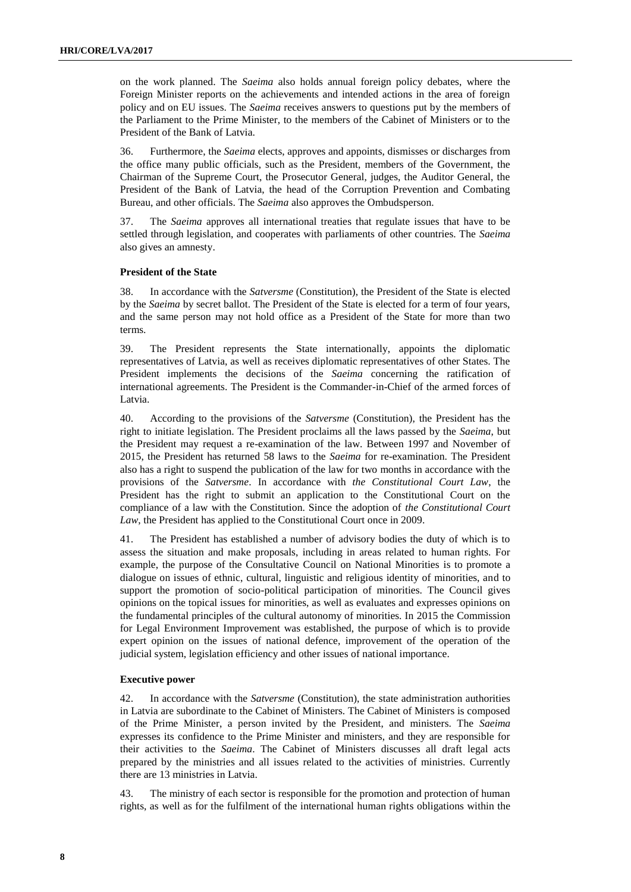on the work planned. The *Saeima* also holds annual foreign policy debates, where the Foreign Minister reports on the achievements and intended actions in the area of foreign policy and on EU issues. The *Saeima* receives answers to questions put by the members of the Parliament to the Prime Minister, to the members of the Cabinet of Ministers or to the President of the Bank of Latvia.

36. Furthermore, the *Saeima* elects, approves and appoints, dismisses or discharges from the office many public officials, such as the President, members of the Government, the Chairman of the Supreme Court, the Prosecutor General, judges, the Auditor General, the President of the Bank of Latvia, the head of the Corruption Prevention and Combating Bureau, and other officials. The *Saeima* also approves the Ombudsperson.

37. The *Saeima* approves all international treaties that regulate issues that have to be settled through legislation, and cooperates with parliaments of other countries. The *Saeima* also gives an amnesty.

#### **President of the State**

38. In accordance with the *Satversme* (Constitution), the President of the State is elected by the *Saeima* by secret ballot. The President of the State is elected for a term of four years, and the same person may not hold office as a President of the State for more than two terms.

39. The President represents the State internationally, appoints the diplomatic representatives of Latvia, as well as receives diplomatic representatives of other States. The President implements the decisions of the *Saeima* concerning the ratification of international agreements. The President is the Commander-in-Chief of the armed forces of Latvia.

40. According to the provisions of the *Satversme* (Constitution), the President has the right to initiate legislation. The President proclaims all the laws passed by the *Saeima*, but the President may request a re-examination of the law. Between 1997 and November of 2015, the President has returned 58 laws to the *Saeima* for re-examination. The President also has a right to suspend the publication of the law for two months in accordance with the provisions of the *Satversme*. In accordance with *the Constitutional Court Law*, the President has the right to submit an application to the Constitutional Court on the compliance of a law with the Constitution. Since the adoption of *the Constitutional Court Law*, the President has applied to the Constitutional Court once in 2009.

41. The President has established a number of advisory bodies the duty of which is to assess the situation and make proposals, including in areas related to human rights. For example, the purpose of the Consultative Council on National Minorities is to promote a dialogue on issues of ethnic, cultural, linguistic and religious identity of minorities, and to support the promotion of socio-political participation of minorities. The Council gives opinions on the topical issues for minorities, as well as evaluates and expresses opinions on the fundamental principles of the cultural autonomy of minorities. In 2015 the Commission for Legal Environment Improvement was established, the purpose of which is to provide expert opinion on the issues of national defence, improvement of the operation of the judicial system, legislation efficiency and other issues of national importance.

#### **Executive power**

42. In accordance with the *Satversme* (Constitution), the state administration authorities in Latvia are subordinate to the Cabinet of Ministers. The Cabinet of Ministers is composed of the Prime Minister, a person invited by the President, and ministers. The *Saeima* expresses its confidence to the Prime Minister and ministers, and they are responsible for their activities to the *Saeima*. The Cabinet of Ministers discusses all draft legal acts prepared by the ministries and all issues related to the activities of ministries. Currently there are 13 ministries in Latvia.

43. The ministry of each sector is responsible for the promotion and protection of human rights, as well as for the fulfilment of the international human rights obligations within the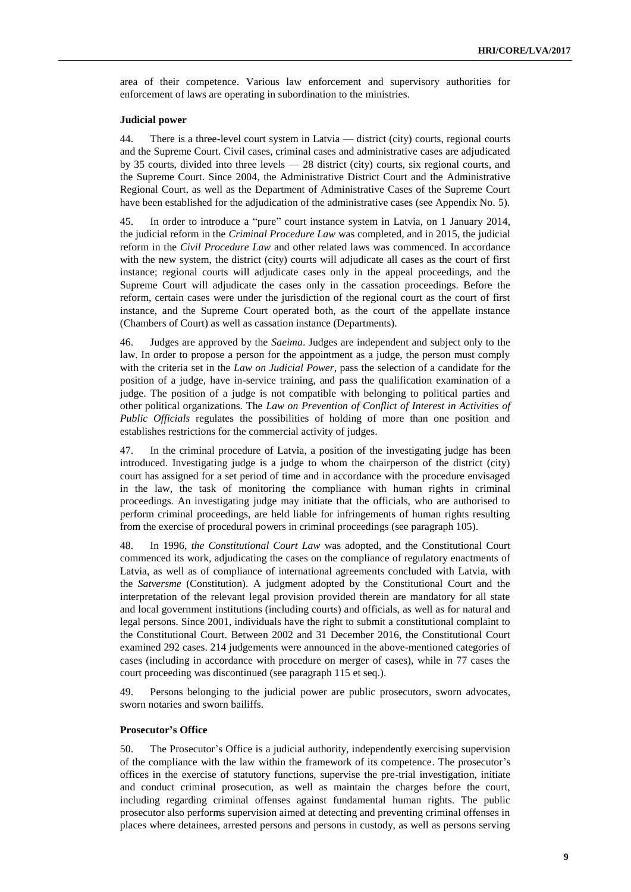area of their competence. Various law enforcement and supervisory authorities for enforcement of laws are operating in subordination to the ministries.

#### **Judicial power**

44. There is a three-level court system in Latvia — district (city) courts, regional courts and the Supreme Court. Civil cases, criminal cases and administrative cases are adjudicated by 35 courts, divided into three levels — 28 district (city) courts, six regional courts, and the Supreme Court. Since 2004, the Administrative District Court and the Administrative Regional Court, as well as the Department of Administrative Cases of the Supreme Court have been established for the adjudication of the administrative cases (see Appendix No. 5).

45. In order to introduce a "pure" court instance system in Latvia, on 1 January 2014, the judicial reform in the *Criminal Procedure Law* was completed, and in 2015, the judicial reform in the *Civil Procedure Law* and other related laws was commenced. In accordance with the new system, the district (city) courts will adjudicate all cases as the court of first instance; regional courts will adjudicate cases only in the appeal proceedings, and the Supreme Court will adjudicate the cases only in the cassation proceedings. Before the reform, certain cases were under the jurisdiction of the regional court as the court of first instance, and the Supreme Court operated both, as the court of the appellate instance (Chambers of Court) as well as cassation instance (Departments).

46. Judges are approved by the *Saeima*. Judges are independent and subject only to the law. In order to propose a person for the appointment as a judge, the person must comply with the criteria set in the *Law on Judicial Power*, pass the selection of a candidate for the position of a judge, have in-service training, and pass the qualification examination of a judge. The position of a judge is not compatible with belonging to political parties and other political organizations. The *Law on Prevention of Conflict of Interest in Activities of Public Officials* regulates the possibilities of holding of more than one position and establishes restrictions for the commercial activity of judges.

47. In the criminal procedure of Latvia, a position of the investigating judge has been introduced. Investigating judge is a judge to whom the chairperson of the district (city) court has assigned for a set period of time and in accordance with the procedure envisaged in the law, the task of monitoring the compliance with human rights in criminal proceedings. An investigating judge may initiate that the officials, who are authorised to perform criminal proceedings, are held liable for infringements of human rights resulting from the exercise of procedural powers in criminal proceedings (see paragraph 105).

48. In 1996, *the Constitutional Court Law* was adopted, and the Constitutional Court commenced its work, adjudicating the cases on the compliance of regulatory enactments of Latvia, as well as of compliance of international agreements concluded with Latvia, with the *Satversme* (Constitution). A judgment adopted by the Constitutional Court and the interpretation of the relevant legal provision provided therein are mandatory for all state and local government institutions (including courts) and officials, as well as for natural and legal persons. Since 2001, individuals have the right to submit a constitutional complaint to the Constitutional Court. Between 2002 and 31 December 2016, the Constitutional Court examined 292 cases. 214 judgements were announced in the above-mentioned categories of cases (including in accordance with procedure on merger of cases), while in 77 cases the court proceeding was discontinued (see paragraph 115 et seq.).

49. Persons belonging to the judicial power are public prosecutors, sworn advocates, sworn notaries and sworn bailiffs.

#### **Prosecutor's Office**

50. The Prosecutor's Office is a judicial authority, independently exercising supervision of the compliance with the law within the framework of its competence. The prosecutor's offices in the exercise of statutory functions, supervise the pre-trial investigation, initiate and conduct criminal prosecution, as well as maintain the charges before the court, including regarding criminal offenses against fundamental human rights. The public prosecutor also performs supervision aimed at detecting and preventing criminal offenses in places where detainees, arrested persons and persons in custody, as well as persons serving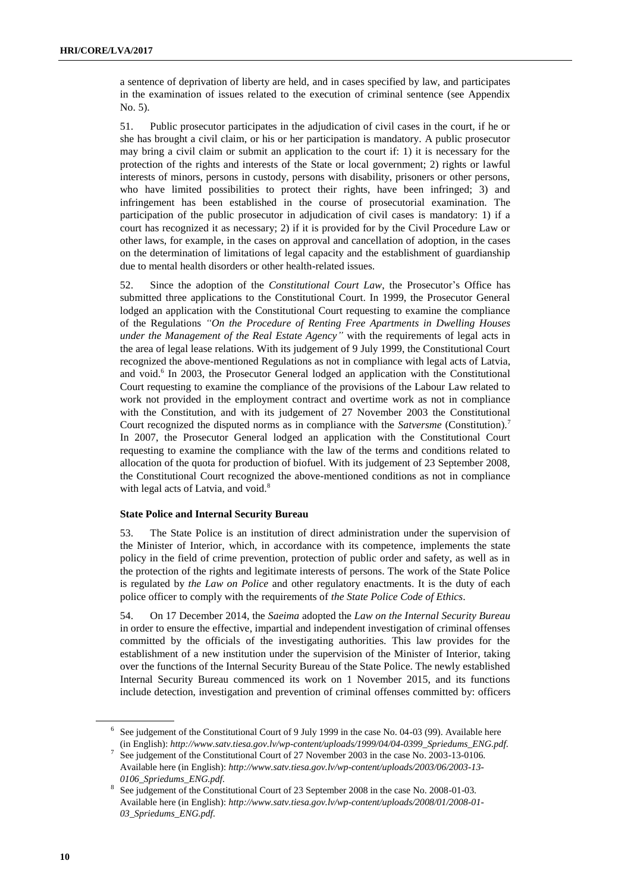a sentence of deprivation of liberty are held, and in cases specified by law, and participates in the examination of issues related to the execution of criminal sentence (see Appendix No. 5).

51. Public prosecutor participates in the adjudication of civil cases in the court, if he or she has brought a civil claim, or his or her participation is mandatory. A public prosecutor may bring a civil claim or submit an application to the court if: 1) it is necessary for the protection of the rights and interests of the State or local government; 2) rights or lawful interests of minors, persons in custody, persons with disability, prisoners or other persons, who have limited possibilities to protect their rights, have been infringed; 3) and infringement has been established in the course of prosecutorial examination. The participation of the public prosecutor in adjudication of civil cases is mandatory: 1) if a court has recognized it as necessary; 2) if it is provided for by the Civil Procedure Law or other laws, for example, in the cases on approval and cancellation of adoption, in the cases on the determination of limitations of legal capacity and the establishment of guardianship due to mental health disorders or other health-related issues.

52. Since the adoption of the *Constitutional Court Law*, the Prosecutor's Office has submitted three applications to the Constitutional Court. In 1999, the Prosecutor General lodged an application with the Constitutional Court requesting to examine the compliance of the Regulations *"On the Procedure of Renting Free Apartments in Dwelling Houses under the Management of the Real Estate Agency"* with the requirements of legal acts in the area of legal lease relations. With its judgement of 9 July 1999, the Constitutional Court recognized the above-mentioned Regulations as not in compliance with legal acts of Latvia, and void. 6 In 2003, the Prosecutor General lodged an application with the Constitutional Court requesting to examine the compliance of the provisions of the Labour Law related to work not provided in the employment contract and overtime work as not in compliance with the Constitution, and with its judgement of 27 November 2003 the Constitutional Court recognized the disputed norms as in compliance with the *Satversme* (Constitution).<sup>7</sup> In 2007, the Prosecutor General lodged an application with the Constitutional Court requesting to examine the compliance with the law of the terms and conditions related to allocation of the quota for production of biofuel. With its judgement of 23 September 2008, the Constitutional Court recognized the above-mentioned conditions as not in compliance with legal acts of Latvia, and void.<sup>8</sup>

#### **State Police and Internal Security Bureau**

53. The State Police is an institution of direct administration under the supervision of the Minister of Interior, which, in accordance with its competence, implements the state policy in the field of crime prevention, protection of public order and safety, as well as in the protection of the rights and legitimate interests of persons. The work of the State Police is regulated by *the Law on Police* and other regulatory enactments. It is the duty of each police officer to comply with the requirements of *the State Police Code of Ethics*.

54. On 17 December 2014, the *Saeima* adopted the *Law on the Internal Security Bureau* in order to ensure the effective, impartial and independent investigation of criminal offenses committed by the officials of the investigating authorities. This law provides for the establishment of a new institution under the supervision of the Minister of Interior, taking over the functions of the Internal Security Bureau of the State Police. The newly established Internal Security Bureau commenced its work on 1 November 2015, and its functions include detection, investigation and prevention of criminal offenses committed by: officers

 $6$  See judgement of the Constitutional Court of 9 July 1999 in the case No. 04-03 (99). Available here (in English): *[http://www.satv.tiesa.gov.lv/wp-content/uploads/1999/04/04-0399\\_Spriedums\\_ENG.pdf](http://www.satv.tiesa.gov.lv/wp-content/uploads/1999/04/04-0399_Spriedums_ENG.pdf)*.

<sup>7</sup> See judgement of the Constitutional Court of 27 November 2003 in the case No. 2003-13-0106. Available here (in English): *[http://www.satv.tiesa.gov.lv/wp-content/uploads/2003/06/2003-13-](http://www.satv.tiesa.gov.lv/wp-content/uploads/2003/06/2003-13-0106_Spriedums_ENG.pdf) [0106\\_Spriedums\\_ENG.pdf.](http://www.satv.tiesa.gov.lv/wp-content/uploads/2003/06/2003-13-0106_Spriedums_ENG.pdf)*

<sup>&</sup>lt;sup>8</sup> See judgement of the Constitutional Court of 23 September 2008 in the case No. 2008-01-03. Available here (in English): *[http://www.satv.tiesa.gov.lv/wp-content/uploads/2008/01/2008-01-](http://www.satv.tiesa.gov.lv/wp-content/uploads/2008/01/2008-01-03_Spriedums_ENG.pdf) [03\\_Spriedums\\_ENG.pdf.](http://www.satv.tiesa.gov.lv/wp-content/uploads/2008/01/2008-01-03_Spriedums_ENG.pdf)*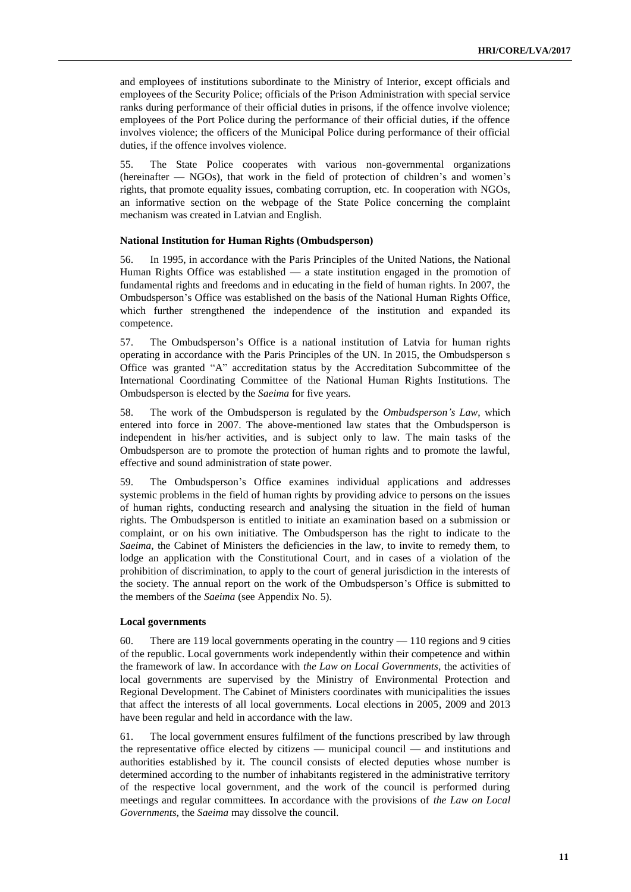and employees of institutions subordinate to the Ministry of Interior, except officials and employees of the Security Police; officials of the Prison Administration with special service ranks during performance of their official duties in prisons, if the offence involve violence; employees of the Port Police during the performance of their official duties, if the offence involves violence; the officers of the Municipal Police during performance of their official duties, if the offence involves violence.

55. The State Police cooperates with various non-governmental organizations (hereinafter — NGOs), that work in the field of protection of children's and women's rights, that promote equality issues, combating corruption, etc. In cooperation with NGOs, an informative section on the webpage of the State Police concerning the complaint mechanism was created in Latvian and English.

#### **National Institution for Human Rights (Ombudsperson)**

56. In 1995, in accordance with the Paris Principles of the United Nations, the National Human Rights Office was established — a state institution engaged in the promotion of fundamental rights and freedoms and in educating in the field of human rights. In 2007, the Ombudsperson's Office was established on the basis of the National Human Rights Office, which further strengthened the independence of the institution and expanded its competence.

57. The Ombudsperson's Office is a national institution of Latvia for human rights operating in accordance with the Paris Principles of the UN. In 2015, the Ombudsperson s Office was granted "A" accreditation status by the Accreditation Subcommittee of the International Coordinating Committee of the National Human Rights Institutions. The Ombudsperson is elected by the *Saeima* for five years.

58. The work of the Ombudsperson is regulated by the *Ombudsperson's Law*, which entered into force in 2007. The above-mentioned law states that the Ombudsperson is independent in his/her activities, and is subject only to law. The main tasks of the Ombudsperson are to promote the protection of human rights and to promote the lawful, effective and sound administration of state power.

59. The Ombudsperson's Office examines individual applications and addresses systemic problems in the field of human rights by providing advice to persons on the issues of human rights, conducting research and analysing the situation in the field of human rights. The Ombudsperson is entitled to initiate an examination based on a submission or complaint, or on his own initiative. The Ombudsperson has the right to indicate to the *Saeima*, the Cabinet of Ministers the deficiencies in the law, to invite to remedy them, to lodge an application with the Constitutional Court, and in cases of a violation of the prohibition of discrimination, to apply to the court of general jurisdiction in the interests of the society. The annual report on the work of the Ombudsperson's Office is submitted to the members of the *Saeima* (see Appendix No. 5).

#### **Local governments**

60. There are 119 local governments operating in the country — 110 regions and 9 cities of the republic. Local governments work independently within their competence and within the framework of law. In accordance with *the Law on Local Governments*, the activities of local governments are supervised by the Ministry of Environmental Protection and Regional Development. The Cabinet of Ministers coordinates with municipalities the issues that affect the interests of all local governments. Local elections in 2005, 2009 and 2013 have been regular and held in accordance with the law.

61. The local government ensures fulfilment of the functions prescribed by law through the representative office elected by citizens — municipal council — and institutions and authorities established by it. The council consists of elected deputies whose number is determined according to the number of inhabitants registered in the administrative territory of the respective local government, and the work of the council is performed during meetings and regular committees. In accordance with the provisions of *the Law on Local Governments*, the *Saeima* may dissolve the council.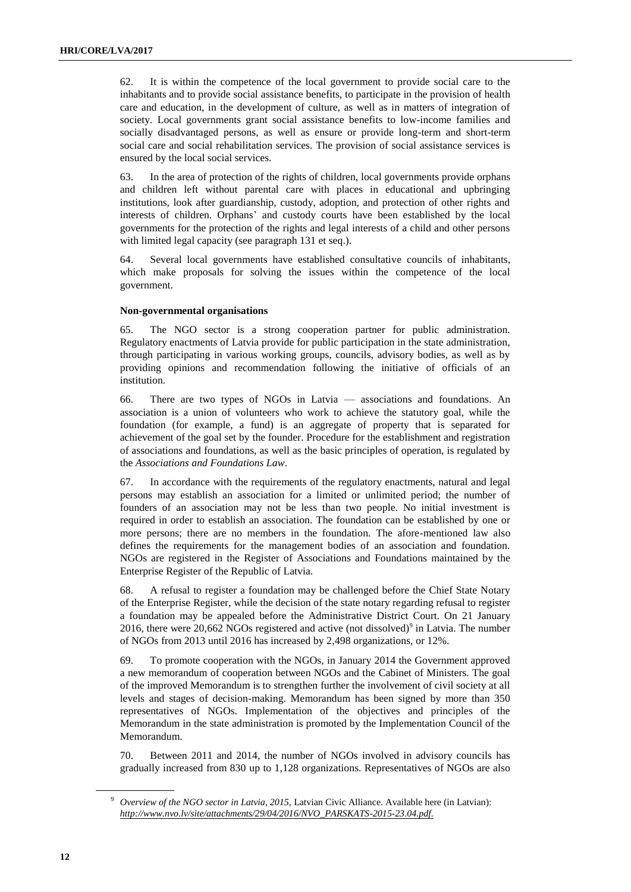62. It is within the competence of the local government to provide social care to the inhabitants and to provide social assistance benefits, to participate in the provision of health care and education, in the development of culture, as well as in matters of integration of society. Local governments grant social assistance benefits to low-income families and socially disadvantaged persons, as well as ensure or provide long-term and short-term social care and social rehabilitation services. The provision of social assistance services is ensured by the local social services.

63. In the area of protection of the rights of children, local governments provide orphans and children left without parental care with places in educational and upbringing institutions, look after guardianship, custody, adoption, and protection of other rights and interests of children. Orphans' and custody courts have been established by the local governments for the protection of the rights and legal interests of a child and other persons with limited legal capacity (see paragraph 131 et seq.).

64. Several local governments have established consultative councils of inhabitants, which make proposals for solving the issues within the competence of the local government.

#### **Non-governmental organisations**

65. The NGO sector is a strong cooperation partner for public administration. Regulatory enactments of Latvia provide for public participation in the state administration, through participating in various working groups, councils, advisory bodies, as well as by providing opinions and recommendation following the initiative of officials of an institution.

66. There are two types of NGOs in Latvia — associations and foundations. An association is a union of volunteers who work to achieve the statutory goal, while the foundation (for example, a fund) is an aggregate of property that is separated for achievement of the goal set by the founder. Procedure for the establishment and registration of associations and foundations, as well as the basic principles of operation, is regulated by the *Associations and Foundations Law*.

67. In accordance with the requirements of the regulatory enactments, natural and legal persons may establish an association for a limited or unlimited period; the number of founders of an association may not be less than two people. No initial investment is required in order to establish an association. The foundation can be established by one or more persons; there are no members in the foundation. The afore-mentioned law also defines the requirements for the management bodies of an association and foundation. NGOs are registered in the Register of Associations and Foundations maintained by the Enterprise Register of the Republic of Latvia.

68. A refusal to register a foundation may be challenged before the Chief State Notary of the Enterprise Register, while the decision of the state notary regarding refusal to register a foundation may be appealed before the Administrative District Court. On 21 January 2016, there were  $20,662$  NGOs registered and active (not dissolved)<sup>9</sup> in Latvia. The number of NGOs from 2013 until 2016 has increased by 2,498 organizations, or 12%.

69. To promote cooperation with the NGOs, in January 2014 the Government approved a new memorandum of cooperation between NGOs and the Cabinet of Ministers. The goal of the improved Memorandum is to strengthen further the involvement of civil society at all levels and stages of decision-making. Memorandum has been signed by more than 350 representatives of NGOs. Implementation of the objectives and principles of the Memorandum in the state administration is promoted by the Implementation Council of the Memorandum.

70. Between 2011 and 2014, the number of NGOs involved in advisory councils has gradually increased from 830 up to 1,128 organizations. Representatives of NGOs are also

<sup>&</sup>lt;sup>9</sup> *Overview of the NGO sector in Latvia, 2015, Latvian Civic Alliance. Available here (in Latvian): [http://www.nvo.lv/site/attachments/29/04/2016/NVO\\_PARSKATS-2015-23.04.pdf.](http://www.nvo.lv/site/attachments/29/04/2016/NVO_PARSKATS-2015-23.04.pdf)*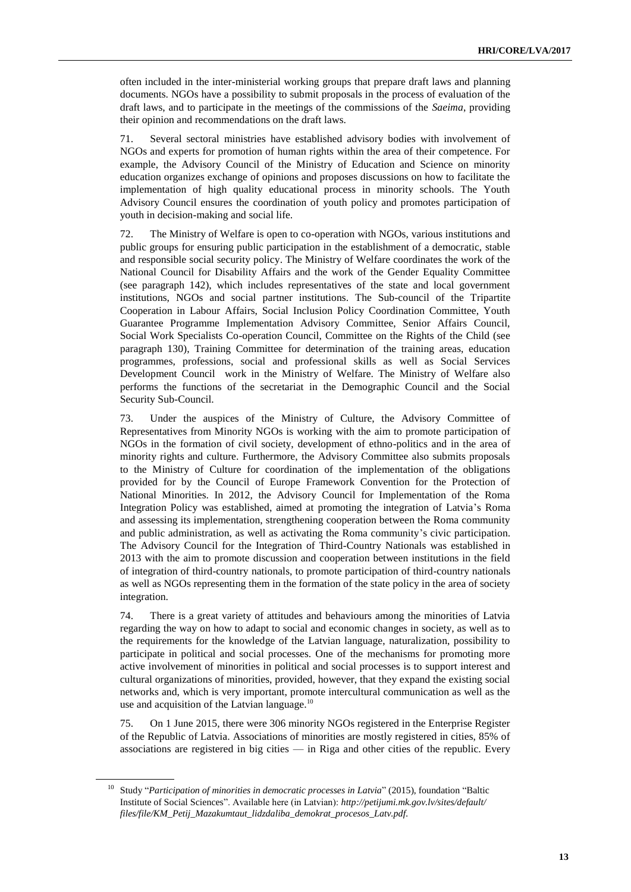often included in the inter-ministerial working groups that prepare draft laws and planning documents. NGOs have a possibility to submit proposals in the process of evaluation of the draft laws, and to participate in the meetings of the commissions of the *Saeima*, providing their opinion and recommendations on the draft laws.

71. Several sectoral ministries have established advisory bodies with involvement of NGOs and experts for promotion of human rights within the area of their competence. For example, the Advisory Council of the Ministry of Education and Science on minority education organizes exchange of opinions and proposes discussions on how to facilitate the implementation of high quality educational process in minority schools. The Youth Advisory Council ensures the coordination of youth policy and promotes participation of youth in decision-making and social life.

72. The Ministry of Welfare is open to co-operation with NGOs, various institutions and public groups for ensuring public participation in the establishment of a democratic, stable and responsible social security policy. The Ministry of Welfare coordinates the work of the National Council for Disability Affairs and the work of the Gender Equality Committee (see paragraph 142), which includes representatives of the state and local government institutions, NGOs and social partner institutions. The Sub-council of the Tripartite Cooperation in Labour Affairs, Social Inclusion Policy Coordination Committee, Youth Guarantee Programme Implementation Advisory Committee, Senior Affairs Council, Social Work Specialists Co-operation Council, Committee on the Rights of the Child (see paragraph 130), Training Committee for determination of the training areas, education programmes, professions, social and professional skills as well as Social Services Development Council work in the Ministry of Welfare. The Ministry of Welfare also performs the functions of the secretariat in the Demographic Council and the Social Security Sub-Council.

73. Under the auspices of the Ministry of Culture, the Advisory Committee of Representatives from Minority NGOs is working with the aim to promote participation of NGOs in the formation of civil society, development of ethno-politics and in the area of minority rights and culture. Furthermore, the Advisory Committee also submits proposals to the Ministry of Culture for coordination of the implementation of the obligations provided for by the Council of Europe Framework Convention for the Protection of National Minorities. In 2012, the Advisory Council for Implementation of the Roma Integration Policy was established, aimed at promoting the integration of Latvia's Roma and assessing its implementation, strengthening cooperation between the Roma community and public administration, as well as activating the Roma community's civic participation. The Advisory Council for the Integration of Third-Country Nationals was established in 2013 with the aim to promote discussion and cooperation between institutions in the field of integration of third-country nationals, to promote participation of third-country nationals as well as NGOs representing them in the formation of the state policy in the area of society integration.

74. There is a great variety of attitudes and behaviours among the minorities of Latvia regarding the way on how to adapt to social and economic changes in society, as well as to the requirements for the knowledge of the Latvian language, naturalization, possibility to participate in political and social processes. One of the mechanisms for promoting more active involvement of minorities in political and social processes is to support interest and cultural organizations of minorities, provided, however, that they expand the existing social networks and, which is very important, promote intercultural communication as well as the use and acquisition of the Latvian language. $10$ 

75. On 1 June 2015, there were 306 minority NGOs registered in the Enterprise Register of the Republic of Latvia. Associations of minorities are mostly registered in cities, 85% of associations are registered in big cities — in Riga and other cities of the republic. Every

<sup>&</sup>lt;sup>10</sup> Study "Participation of minorities in democratic processes in Latvia" (2015), foundation "Baltic Institute of Social Sciences". Available here (in Latvian): *[http://petijumi.mk.gov.lv/sites/default/](http://petijumi.mk.gov.lv/sites/default/files/file/KM_Petij_Mazakumtaut_lidzdaliba_demokrat_procesos_Latv.pdf) [files/file/KM\\_Petij\\_Mazakumtaut\\_lidzdaliba\\_demokrat\\_procesos\\_Latv.pdf.](http://petijumi.mk.gov.lv/sites/default/files/file/KM_Petij_Mazakumtaut_lidzdaliba_demokrat_procesos_Latv.pdf)*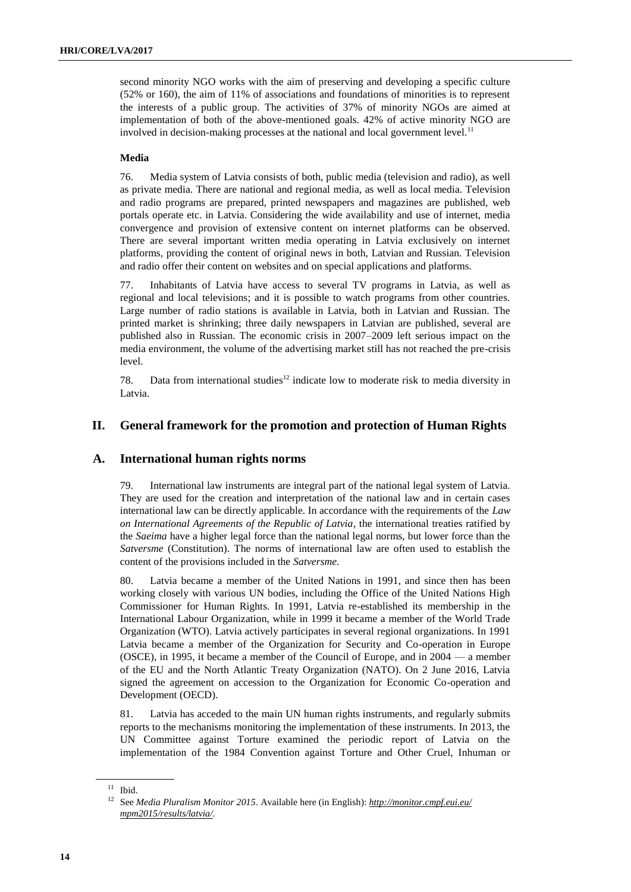second minority NGO works with the aim of preserving and developing a specific culture (52% or 160), the aim of 11% of associations and foundations of minorities is to represent the interests of a public group. The activities of 37% of minority NGOs are aimed at implementation of both of the above-mentioned goals. 42% of active minority NGO are involved in decision-making processes at the national and local government level. $^{11}$ 

#### **Media**

76. Media system of Latvia consists of both, public media (television and radio), as well as private media. There are national and regional media, as well as local media. Television and radio programs are prepared, printed newspapers and magazines are published, web portals operate etc. in Latvia. Considering the wide availability and use of internet, media convergence and provision of extensive content on internet platforms can be observed. There are several important written media operating in Latvia exclusively on internet platforms, providing the content of original news in both, Latvian and Russian. Television and radio offer their content on websites and on special applications and platforms.

77. Inhabitants of Latvia have access to several TV programs in Latvia, as well as regional and local televisions; and it is possible to watch programs from other countries. Large number of radio stations is available in Latvia, both in Latvian and Russian. The printed market is shrinking; three daily newspapers in Latvian are published, several are published also in Russian. The economic crisis in 2007–2009 left serious impact on the media environment, the volume of the advertising market still has not reached the pre-crisis level.

78. Data from international studies<sup>12</sup> indicate low to moderate risk to media diversity in Latvia.

#### **II. General framework for the promotion and protection of Human Rights**

#### **A. International human rights norms**

79. International law instruments are integral part of the national legal system of Latvia. They are used for the creation and interpretation of the national law and in certain cases international law can be directly applicable. In accordance with the requirements of the *Law on International Agreements of the Republic of Latvia*, the international treaties ratified by the *Saeima* have a higher legal force than the national legal norms, but lower force than the *Satversme* (Constitution). The norms of international law are often used to establish the content of the provisions included in the *Satversme.*

80. Latvia became a member of the United Nations in 1991, and since then has been working closely with various UN bodies, including the Office of the United Nations High Commissioner for Human Rights. In 1991, Latvia re-established its membership in the International Labour Organization, while in 1999 it became a member of the World Trade Organization (WTO). Latvia actively participates in several regional organizations. In 1991 Latvia became a member of the Organization for Security and Co-operation in Europe (OSCE), in 1995, it became a member of the Council of Europe, and in 2004 — a member of the EU and the North Atlantic Treaty Organization (NATO). On 2 June 2016, Latvia signed the agreement on accession to the Organization for Economic Co-operation and Development (OECD).

81. Latvia has acceded to the main UN human rights instruments, and regularly submits reports to the mechanisms monitoring the implementation of these instruments. In 2013, the UN Committee against Torture examined the periodic report of Latvia on the implementation of the 1984 Convention against Torture and Other Cruel, Inhuman or

 $11$  Ibid.

<sup>12</sup> See *Media Pluralism Monitor 2015*. Available here (in English): *[http://monitor.cmpf.eui.eu/](http://monitor.cmpf.eui.eu/mpm2015/results/latvia/) [mpm2015/results/latvia/](http://monitor.cmpf.eui.eu/mpm2015/results/latvia/)*.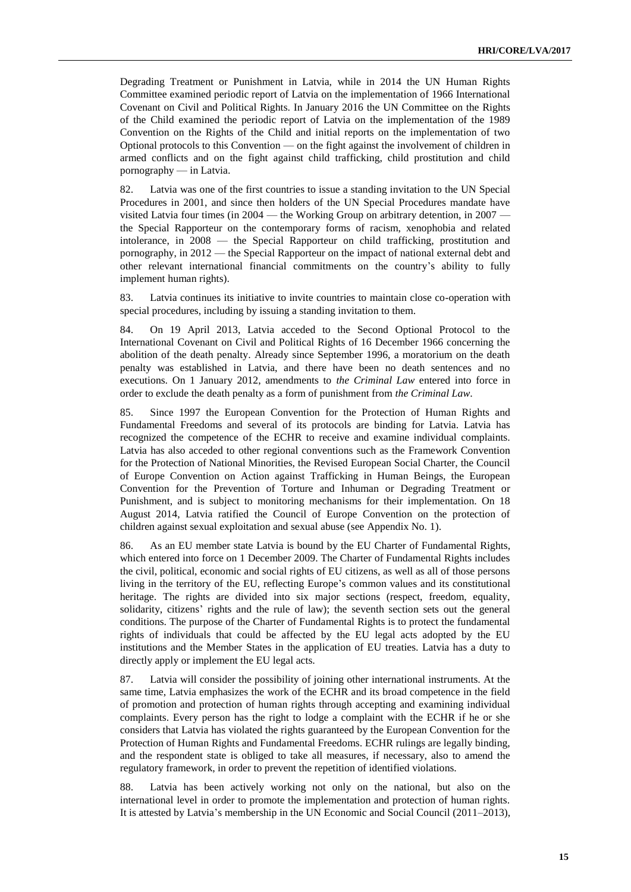Degrading Treatment or Punishment in Latvia, while in 2014 the UN Human Rights Committee examined periodic report of Latvia on the implementation of 1966 International Covenant on Civil and Political Rights. In January 2016 the UN Committee on the Rights of the Child examined the periodic report of Latvia on the implementation of the 1989 Convention on the Rights of the Child and initial reports on the implementation of two Optional protocols to this Convention — on the fight against the involvement of children in armed conflicts and on the fight against child trafficking, child prostitution and child pornography — in Latvia.

82. Latvia was one of the first countries to issue a standing invitation to the UN Special Procedures in 2001, and since then holders of the UN Special Procedures mandate have visited Latvia four times (in 2004 — the Working Group on arbitrary detention, in 2007 the Special Rapporteur on the contemporary forms of racism, xenophobia and related intolerance, in 2008 — the Special Rapporteur on child trafficking, prostitution and pornography, in 2012 — the Special Rapporteur on the impact of national external debt and other relevant international financial commitments on the country's ability to fully implement human rights).

83. Latvia continues its initiative to invite countries to maintain close co-operation with special procedures, including by issuing a standing invitation to them.

84. On 19 April 2013, Latvia acceded to the Second Optional Protocol to the International Covenant on Civil and Political Rights of 16 December 1966 concerning the abolition of the death penalty. Already since September 1996, a moratorium on the death penalty was established in Latvia, and there have been no death sentences and no executions. On 1 January 2012, amendments to *the Criminal Law* entered into force in order to exclude the death penalty as a form of punishment from *the Criminal Law*.

85. Since 1997 the European Convention for the Protection of Human Rights and Fundamental Freedoms and several of its protocols are binding for Latvia. Latvia has recognized the competence of the ECHR to receive and examine individual complaints. Latvia has also acceded to other regional conventions such as the Framework Convention for the Protection of National Minorities, the Revised European Social Charter, the Council of Europe Convention on Action against Trafficking in Human Beings, the European Convention for the Prevention of Torture and Inhuman or Degrading Treatment or Punishment, and is subject to monitoring mechanisms for their implementation. On 18 August 2014, Latvia ratified the Council of Europe Convention on the protection of children against sexual exploitation and sexual abuse (see Appendix No. 1).

86. As an EU member state Latvia is bound by the EU Charter of Fundamental Rights, which entered into force on 1 December 2009. The Charter of Fundamental Rights includes the civil, political, economic and social rights of EU citizens, as well as all of those persons living in the territory of the EU, reflecting Europe's common values and its constitutional heritage. The rights are divided into six major sections (respect, freedom, equality, solidarity, citizens' rights and the rule of law); the seventh section sets out the general conditions. The purpose of the Charter of Fundamental Rights is to protect the fundamental rights of individuals that could be affected by the EU legal acts adopted by the EU institutions and the Member States in the application of EU treaties. Latvia has a duty to directly apply or implement the EU legal acts.

87. Latvia will consider the possibility of joining other international instruments. At the same time, Latvia emphasizes the work of the ECHR and its broad competence in the field of promotion and protection of human rights through accepting and examining individual complaints. Every person has the right to lodge a complaint with the ECHR if he or she considers that Latvia has violated the rights guaranteed by the European Convention for the Protection of Human Rights and Fundamental Freedoms. ECHR rulings are legally binding, and the respondent state is obliged to take all measures, if necessary, also to amend the regulatory framework, in order to prevent the repetition of identified violations.

88. Latvia has been actively working not only on the national, but also on the international level in order to promote the implementation and protection of human rights. It is attested by Latvia's membership in the UN Economic and Social Council (2011–2013),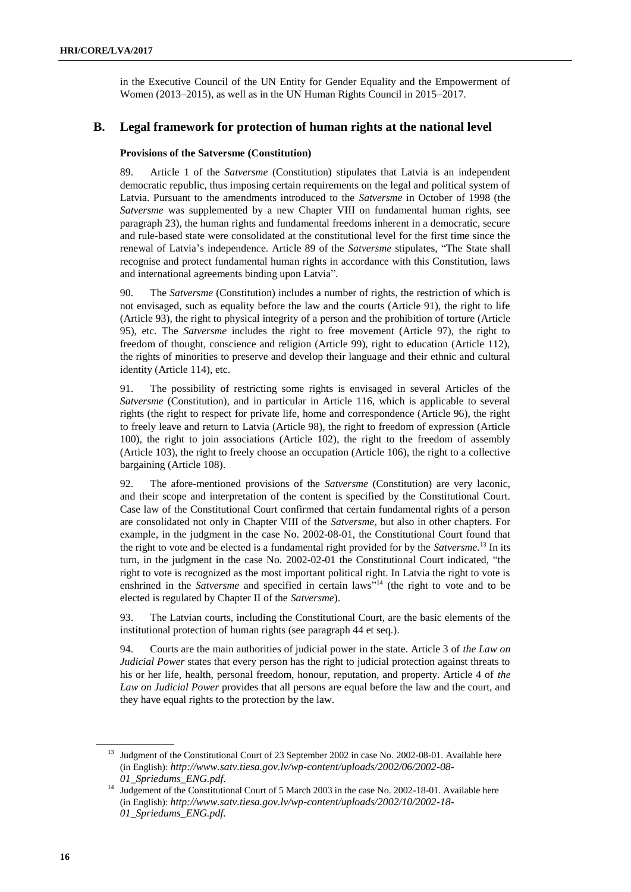in the Executive Council of the UN Entity for Gender Equality and the Empowerment of Women (2013–2015), as well as in the UN Human Rights Council in 2015–2017.

#### **B. Legal framework for protection of human rights at the national level**

#### **Provisions of the Satversme (Constitution)**

89. Article 1 of the *Satversme* (Constitution) stipulates that Latvia is an independent democratic republic, thus imposing certain requirements on the legal and political system of Latvia. Pursuant to the amendments introduced to the *Satversme* in October of 1998 (the *Satversme* was supplemented by a new Chapter VIII on fundamental human rights, see paragraph 23), the human rights and fundamental freedoms inherent in a democratic, secure and rule-based state were consolidated at the constitutional level for the first time since the renewal of Latvia's independence. Article 89 of the *Satversme* stipulates, "The State shall recognise and protect fundamental human rights in accordance with this Constitution, laws and international agreements binding upon Latvia".

90. The *Satversme* (Constitution) includes a number of rights, the restriction of which is not envisaged, such as equality before the law and the courts (Article 91), the right to life (Article 93), the right to physical integrity of a person and the prohibition of torture (Article 95), etc. The *Satversme* includes the right to free movement (Article 97), the right to freedom of thought, conscience and religion (Article 99), right to education (Article 112), the rights of minorities to preserve and develop their language and their ethnic and cultural identity (Article 114), etc.

91. The possibility of restricting some rights is envisaged in several Articles of the *Satversme* (Constitution), and in particular in Article 116, which is applicable to several rights (the right to respect for private life, home and correspondence (Article 96), the right to freely leave and return to Latvia (Article 98), the right to freedom of expression (Article 100), the right to join associations (Article 102), the right to the freedom of assembly (Article 103), the right to freely choose an occupation (Article 106), the right to a collective bargaining (Article 108).

92. The afore-mentioned provisions of the *Satversme* (Constitution) are very laconic, and their scope and interpretation of the content is specified by the Constitutional Court. Case law of the Constitutional Court confirmed that certain fundamental rights of a person are consolidated not only in Chapter VIII of the *Satversme*, but also in other chapters. For example, in the judgment in the case No. 2002-08-01, the Constitutional Court found that the right to vote and be elected is a fundamental right provided for by the *Satversme.* <sup>13</sup> In its turn, in the judgment in the case No. 2002-02-01 the Constitutional Court indicated, "the right to vote is recognized as the most important political right. In Latvia the right to vote is enshrined in the *Satversme* and specified in certain laws"<sup>14</sup> (the right to vote and to be elected is regulated by Chapter II of the *Satversme*).

93. The Latvian courts, including the Constitutional Court, are the basic elements of the institutional protection of human rights (see paragraph 44 et seq.).

94. Courts are the main authorities of judicial power in the state. Article 3 of *the Law on Judicial Power* states that every person has the right to judicial protection against threats to his or her life, health, personal freedom, honour, reputation, and property. Article 4 of *the Law on Judicial Power* provides that all persons are equal before the law and the court, and they have equal rights to the protection by the law.

<sup>&</sup>lt;sup>13</sup> Judgment of the Constitutional Court of 23 September 2002 in case No. 2002-08-01. Available here (in English): *[http://www.satv.tiesa.gov.lv/wp-content/uploads/2002/06/2002-08-](http://www.satv.tiesa.gov.lv/wp-content/uploads/2002/06/2002-08-01_Spriedums_ENG.pdf) [01\\_Spriedums\\_ENG.pdf.](http://www.satv.tiesa.gov.lv/wp-content/uploads/2002/06/2002-08-01_Spriedums_ENG.pdf)*

<sup>&</sup>lt;sup>14</sup> Judgement of the Constitutional Court of 5 March 2003 in the case No. 2002-18-01. Available here (in English): *[http://www.satv.tiesa.gov.lv/wp-content/uploads/2002/10/2002-18-](http://www.satv.tiesa.gov.lv/wp-content/uploads/2002/10/2002-18-01_Spriedums_ENG.pdf) [01\\_Spriedums\\_ENG.pdf.](http://www.satv.tiesa.gov.lv/wp-content/uploads/2002/10/2002-18-01_Spriedums_ENG.pdf)*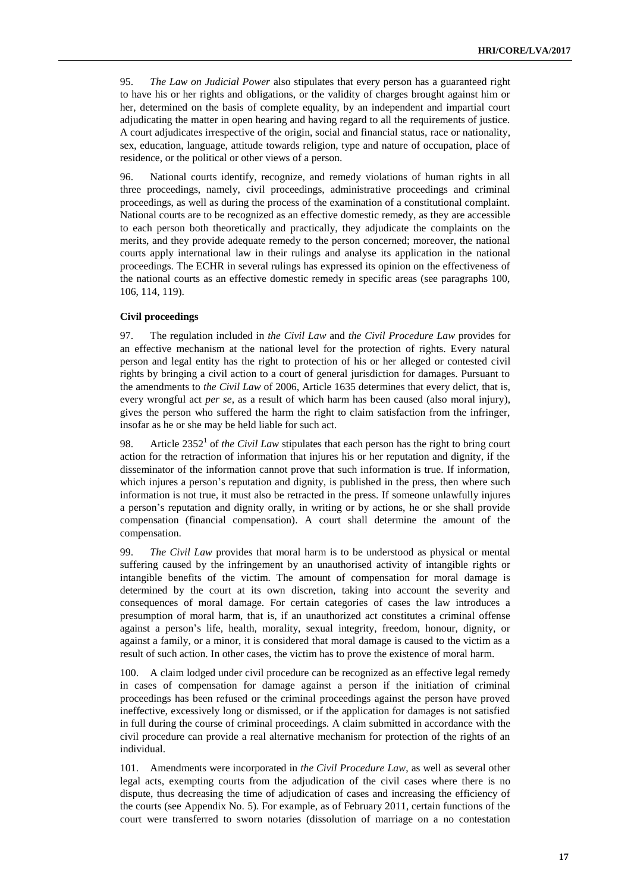95. *The Law on Judicial Power* also stipulates that every person has a guaranteed right to have his or her rights and obligations, or the validity of charges brought against him or her, determined on the basis of complete equality, by an independent and impartial court adjudicating the matter in open hearing and having regard to all the requirements of justice. A court adjudicates irrespective of the origin, social and financial status, race or nationality, sex, education, language, attitude towards religion, type and nature of occupation, place of residence, or the political or other views of a person.

96. National courts identify, recognize, and remedy violations of human rights in all three proceedings, namely, civil proceedings, administrative proceedings and criminal proceedings, as well as during the process of the examination of a constitutional complaint. National courts are to be recognized as an effective domestic remedy, as they are accessible to each person both theoretically and practically, they adjudicate the complaints on the merits, and they provide adequate remedy to the person concerned; moreover, the national courts apply international law in their rulings and analyse its application in the national proceedings. The ECHR in several rulings has expressed its opinion on the effectiveness of the national courts as an effective domestic remedy in specific areas (see paragraphs 100, 106, 114, 119).

#### **Civil proceedings**

97. The regulation included in *the Civil Law* and *the Civil Procedure Law* provides for an effective mechanism at the national level for the protection of rights. Every natural person and legal entity has the right to protection of his or her alleged or contested civil rights by bringing a civil action to a court of general jurisdiction for damages. Pursuant to the amendments to *the Civil Law* of 2006, Article 1635 determines that every delict, that is, every wrongful act *per se*, as a result of which harm has been caused (also moral injury), gives the person who suffered the harm the right to claim satisfaction from the infringer, insofar as he or she may be held liable for such act.

98. Article  $2352<sup>1</sup>$  of *the Civil Law* stipulates that each person has the right to bring court action for the retraction of information that injures his or her reputation and dignity, if the disseminator of the information cannot prove that such information is true. If information, which injures a person's reputation and dignity, is published in the press, then where such information is not true, it must also be retracted in the press. If someone unlawfully injures a person's reputation and dignity orally, in writing or by actions, he or she shall provide compensation (financial compensation). A court shall determine the amount of the compensation.

99. *The Civil Law* provides that moral harm is to be understood as physical or mental suffering caused by the infringement by an unauthorised activity of intangible rights or intangible benefits of the victim. The amount of compensation for moral damage is determined by the court at its own discretion, taking into account the severity and consequences of moral damage. For certain categories of cases the law introduces a presumption of moral harm, that is, if an unauthorized act constitutes a criminal offense against a person's life, health, morality, sexual integrity, freedom, honour, dignity, or against a family, or a minor, it is considered that moral damage is caused to the victim as a result of such action. In other cases, the victim has to prove the existence of moral harm.

100. A claim lodged under civil procedure can be recognized as an effective legal remedy in cases of compensation for damage against a person if the initiation of criminal proceedings has been refused or the criminal proceedings against the person have proved ineffective, excessively long or dismissed, or if the application for damages is not satisfied in full during the course of criminal proceedings. A claim submitted in accordance with the civil procedure can provide a real alternative mechanism for protection of the rights of an individual.

101. Amendments were incorporated in *the Civil Procedure Law*, as well as several other legal acts, exempting courts from the adjudication of the civil cases where there is no dispute, thus decreasing the time of adjudication of cases and increasing the efficiency of the courts (see Appendix No. 5). For example, as of February 2011, certain functions of the court were transferred to sworn notaries (dissolution of marriage on a no contestation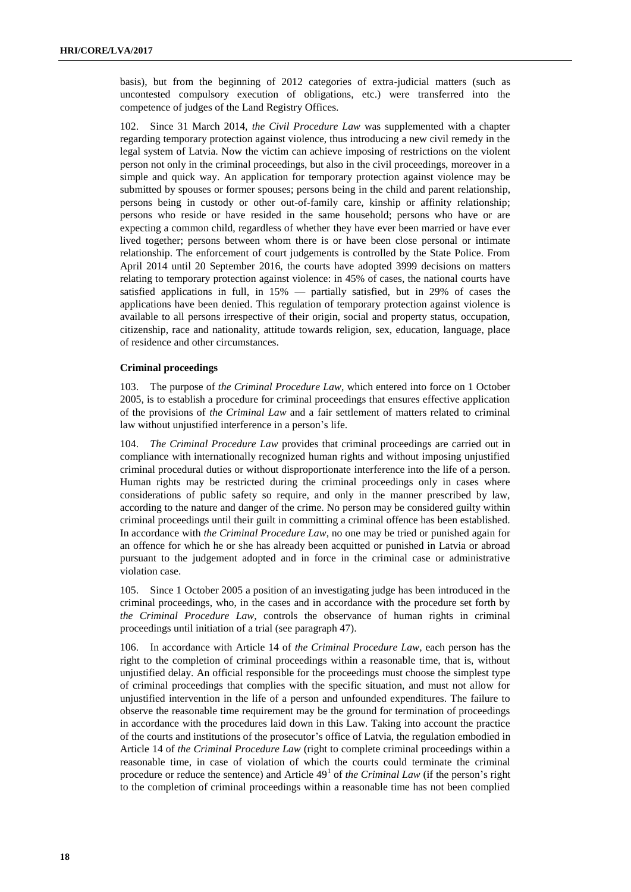basis), but from the beginning of 2012 categories of extra-judicial matters (such as uncontested compulsory execution of obligations, etc.) were transferred into the competence of judges of the Land Registry Offices.

102. Since 31 March 2014, *the Civil Procedure Law* was supplemented with a chapter regarding temporary protection against violence, thus introducing a new civil remedy in the legal system of Latvia. Now the victim can achieve imposing of restrictions on the violent person not only in the criminal proceedings, but also in the civil proceedings, moreover in a simple and quick way. An application for temporary protection against violence may be submitted by spouses or former spouses; persons being in the child and parent relationship, persons being in custody or other out-of-family care, kinship or affinity relationship; persons who reside or have resided in the same household; persons who have or are expecting a common child, regardless of whether they have ever been married or have ever lived together; persons between whom there is or have been close personal or intimate relationship. The enforcement of court judgements is controlled by the State Police. From April 2014 until 20 September 2016, the courts have adopted 3999 decisions on matters relating to temporary protection against violence: in 45% of cases, the national courts have satisfied applications in full, in 15% — partially satisfied, but in 29% of cases the applications have been denied. This regulation of temporary protection against violence is available to all persons irrespective of their origin, social and property status, occupation, citizenship, race and nationality, attitude towards religion, sex, education, language, place of residence and other circumstances.

#### **Criminal proceedings**

103. The purpose of *the Criminal Procedure Law*, which entered into force on 1 October 2005, is to establish a procedure for criminal proceedings that ensures effective application of the provisions of *the Criminal Law* and a fair settlement of matters related to criminal law without unjustified interference in a person's life.

104. *The Criminal Procedure Law* provides that criminal proceedings are carried out in compliance with internationally recognized human rights and without imposing unjustified criminal procedural duties or without disproportionate interference into the life of a person. Human rights may be restricted during the criminal proceedings only in cases where considerations of public safety so require, and only in the manner prescribed by law, according to the nature and danger of the crime. No person may be considered guilty within criminal proceedings until their guilt in committing a criminal offence has been established. In accordance with *the Criminal Procedure Law*, no one may be tried or punished again for an offence for which he or she has already been acquitted or punished in Latvia or abroad pursuant to the judgement adopted and in force in the criminal case or administrative violation case.

105. Since 1 October 2005 a position of an investigating judge has been introduced in the criminal proceedings, who, in the cases and in accordance with the procedure set forth by *the Criminal Procedure Law*, controls the observance of human rights in criminal proceedings until initiation of a trial (see paragraph 47).

106. In accordance with Article 14 of *the Criminal Procedure Law*, each person has the right to the completion of criminal proceedings within a reasonable time, that is, without unjustified delay. An official responsible for the proceedings must choose the simplest type of criminal proceedings that complies with the specific situation, and must not allow for unjustified intervention in the life of a person and unfounded expenditures. The failure to observe the reasonable time requirement may be the ground for termination of proceedings in accordance with the procedures laid down in this Law. Taking into account the practice of the courts and institutions of the prosecutor's office of Latvia, the regulation embodied in Article 14 of *the Criminal Procedure Law* (right to complete criminal proceedings within a reasonable time, in case of violation of which the courts could terminate the criminal procedure or reduce the sentence) and Article 49<sup>1</sup> of *the Criminal Law* (if the person's right to the completion of criminal proceedings within a reasonable time has not been complied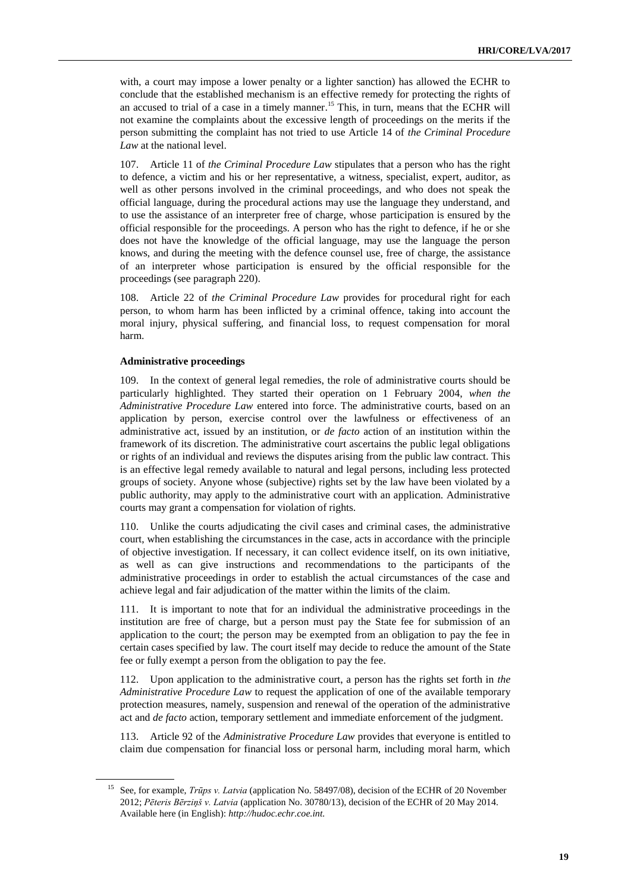with, a court may impose a lower penalty or a lighter sanction) has allowed the ECHR to conclude that the established mechanism is an effective remedy for protecting the rights of an accused to trial of a case in a timely manner.<sup>15</sup> This, in turn, means that the ECHR will not examine the complaints about the excessive length of proceedings on the merits if the person submitting the complaint has not tried to use Article 14 of *the Criminal Procedure Law* at the national level.

107. Article 11 of *the Criminal Procedure Law* stipulates that a person who has the right to defence, a victim and his or her representative, a witness, specialist, expert, auditor, as well as other persons involved in the criminal proceedings, and who does not speak the official language, during the procedural actions may use the language they understand, and to use the assistance of an interpreter free of charge, whose participation is ensured by the official responsible for the proceedings. A person who has the right to defence, if he or she does not have the knowledge of the official language, may use the language the person knows, and during the meeting with the defence counsel use, free of charge, the assistance of an interpreter whose participation is ensured by the official responsible for the proceedings (see paragraph 220).

108. Article 22 of *the Criminal Procedure Law* provides for procedural right for each person, to whom harm has been inflicted by a criminal offence, taking into account the moral injury, physical suffering, and financial loss, to request compensation for moral harm.

#### **Administrative proceedings**

In the context of general legal remedies, the role of administrative courts should be particularly highlighted. They started their operation on 1 February 2004, *when the Administrative Procedure Law* entered into force. The administrative courts, based on an application by person, exercise control over the lawfulness or effectiveness of an administrative act, issued by an institution, or *de facto* action of an institution within the framework of its discretion. The administrative court ascertains the public legal obligations or rights of an individual and reviews the disputes arising from the public law contract. This is an effective legal remedy available to natural and legal persons, including less protected groups of society. Anyone whose (subjective) rights set by the law have been violated by a public authority, may apply to the administrative court with an application. Administrative courts may grant a compensation for violation of rights.

110. Unlike the courts adjudicating the civil cases and criminal cases, the administrative court, when establishing the circumstances in the case, acts in accordance with the principle of objective investigation. If necessary, it can collect evidence itself, on its own initiative, as well as can give instructions and recommendations to the participants of the administrative proceedings in order to establish the actual circumstances of the case and achieve legal and fair adjudication of the matter within the limits of the claim.

111. It is important to note that for an individual the administrative proceedings in the institution are free of charge, but a person must pay the State fee for submission of an application to the court; the person may be exempted from an obligation to pay the fee in certain cases specified by law. The court itself may decide to reduce the amount of the State fee or fully exempt a person from the obligation to pay the fee.

112. Upon application to the administrative court, a person has the rights set forth in *the Administrative Procedure Law* to request the application of one of the available temporary protection measures, namely, suspension and renewal of the operation of the administrative act and *de facto* action, temporary settlement and immediate enforcement of the judgment.

113. Article 92 of the *Administrative Procedure Law* provides that everyone is entitled to claim due compensation for financial loss or personal harm, including moral harm, which

<sup>&</sup>lt;sup>15</sup> See, for example, *Trūps v. Latvia* (application No. 58497/08), decision of the ECHR of 20 November 2012; *Pēteris Bērziņš v. Latvia* (application No. 30780/13), decision of the ECHR of 20 May 2014. Available here (in English): *[http://hudoc.echr.coe.int.](http://hudoc.echr.coe.int/)*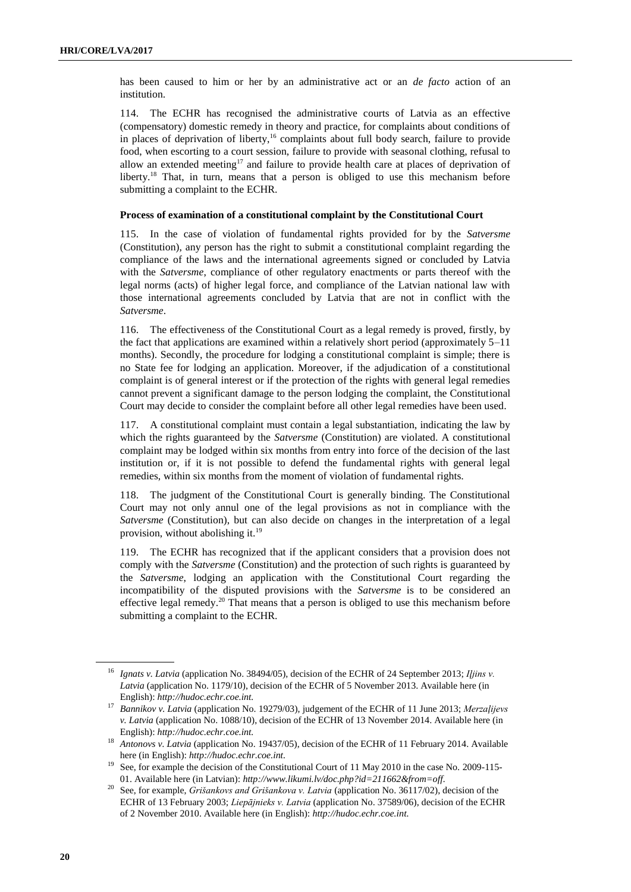has been caused to him or her by an administrative act or an *de facto* action of an institution.

114. The ECHR has recognised the administrative courts of Latvia as an effective (compensatory) domestic remedy in theory and practice, for complaints about conditions of in places of deprivation of liberty, <sup>16</sup> complaints about full body search, failure to provide food, when escorting to a court session, failure to provide with seasonal clothing, refusal to allow an extended meeting<sup>17</sup> and failure to provide health care at places of deprivation of liberty.<sup>18</sup> That, in turn, means that a person is obliged to use this mechanism before submitting a complaint to the ECHR.

#### **Process of examination of a constitutional complaint by the Constitutional Court**

115. In the case of violation of fundamental rights provided for by the *Satversme* (Constitution), any person has the right to submit a constitutional complaint regarding the compliance of the laws and the international agreements signed or concluded by Latvia with the *Satversme*, compliance of other regulatory enactments or parts thereof with the legal norms (acts) of higher legal force, and compliance of the Latvian national law with those international agreements concluded by Latvia that are not in conflict with the *Satversme*.

116. The effectiveness of the Constitutional Court as a legal remedy is proved, firstly, by the fact that applications are examined within a relatively short period (approximately 5–11 months). Secondly, the procedure for lodging a constitutional complaint is simple; there is no State fee for lodging an application. Moreover, if the adjudication of a constitutional complaint is of general interest or if the protection of the rights with general legal remedies cannot prevent a significant damage to the person lodging the complaint, the Constitutional Court may decide to consider the complaint before all other legal remedies have been used.

117. A constitutional complaint must contain a legal substantiation, indicating the law by which the rights guaranteed by the *Satversme* (Constitution) are violated. A constitutional complaint may be lodged within six months from entry into force of the decision of the last institution or, if it is not possible to defend the fundamental rights with general legal remedies, within six months from the moment of violation of fundamental rights.

118. The judgment of the Constitutional Court is generally binding. The Constitutional Court may not only annul one of the legal provisions as not in compliance with the *Satversme* (Constitution), but can also decide on changes in the interpretation of a legal provision, without abolishing it.<sup>19</sup>

119. The ECHR has recognized that if the applicant considers that a provision does not comply with the *Satversme* (Constitution) and the protection of such rights is guaranteed by the *Satversme*, lodging an application with the Constitutional Court regarding the incompatibility of the disputed provisions with the *Satversme* is to be considered an effective legal remedy.<sup>20</sup> That means that a person is obliged to use this mechanism before submitting a complaint to the ECHR.

<sup>&</sup>lt;sup>16</sup> Ignats v. Latvia (application No. 38494/05), decision of the ECHR of 24 September 2013; Iljins v. *Latvia* (application No. 1179/10), decision of the ECHR of 5 November 2013. Available here (in English): *[http://hudoc.echr.coe.int.](http://hudoc.echr.coe.int/)*

<sup>17</sup> *Bannikov v. Latvia* (application No. 19279/03), judgement of the ECHR of 11 June 2013; *Merzaļijevs v. Latvia* (application No. 1088/10), decision of the ECHR of 13 November 2014. Available here (in English): *[http://hudoc.echr.coe.int.](http://hudoc.echr.coe.int/)*

<sup>18</sup> *Antonovs v. Latvia* (application No. 19437/05), decision of the ECHR of 11 February 2014. Available here (in English): *[http://hudoc.echr.coe.int.](http://hudoc.echr.coe.int/)*

<sup>&</sup>lt;sup>19</sup> See, for example the decision of the Constitutional Court of 11 May 2010 in the case No. 2009-115-01. Available here (in Latvian): *[http://www.likumi.lv/doc.php?id=211662&from=off.](http://www.likumi.lv/doc.php?id=211662&from=off)* 

<sup>20</sup> See, for example, *Grišankovs and Grišankova v. Latvia* (application No. 36117/02), decision of the ECHR of 13 February 2003; *Liepājnieks v. Latvia* (application No. 37589/06), decision of the ECHR of 2 November 2010. Available here (in English): *[http://hudoc.echr.coe.int.](http://hudoc.echr.coe.int/)*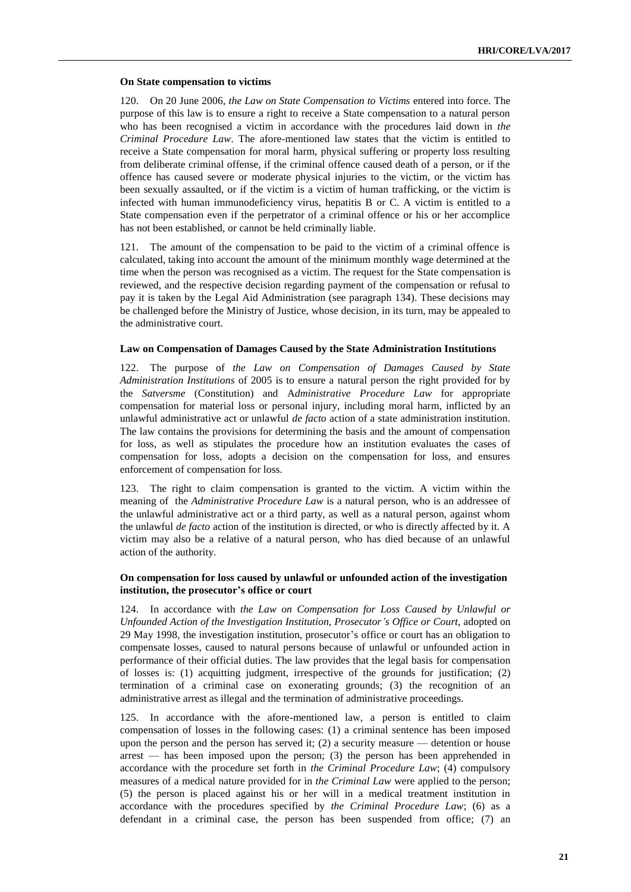#### **On State compensation to victims**

120. On 20 June 2006, *the Law on State Compensation to Victims* entered into force. The purpose of this law is to ensure a right to receive a State compensation to a natural person who has been recognised a victim in accordance with the procedures laid down in *the Criminal Procedure Law*. The afore-mentioned law states that the victim is entitled to receive a State compensation for moral harm, physical suffering or property loss resulting from deliberate criminal offense, if the criminal offence caused death of a person, or if the offence has caused severe or moderate physical injuries to the victim, or the victim has been sexually assaulted, or if the victim is a victim of human trafficking, or the victim is infected with human immunodeficiency virus, hepatitis B or C. A victim is entitled to a State compensation even if the perpetrator of a criminal offence or his or her accomplice has not been established, or cannot be held criminally liable.

121. The amount of the compensation to be paid to the victim of a criminal offence is calculated, taking into account the amount of the minimum monthly wage determined at the time when the person was recognised as a victim. The request for the State compensation is reviewed, and the respective decision regarding payment of the compensation or refusal to pay it is taken by the Legal Aid Administration (see paragraph 134). These decisions may be challenged before the Ministry of Justice, whose decision, in its turn, may be appealed to the administrative court.

#### **Law on Compensation of Damages Caused by the State Administration Institutions**

122. The purpose of *the Law on Compensation of Damages Caused by State Administration Institutions* of 2005 is to ensure a natural person the right provided for by the *Satversme* (Constitution) and A*[dministrative Procedure Law](http://likumi.lv/ta/id/55567-administrativa-procesa-likums)* for appropriate compensation for material loss or personal injury, including moral harm, inflicted by an unlawful administrative act or unlawful *de facto* action of a state administration institution. The law contains the provisions for determining the basis and the amount of compensation for loss, as well as stipulates the procedure how an institution evaluates the cases of compensation for loss, adopts a decision on the compensation for loss, and ensures enforcement of compensation for loss.

123. The right to claim compensation is granted to the victim. A victim within the meaning of the *[Administrative Procedure Law](http://likumi.lv/ta/id/55567-administrativa-procesa-likums)* is a natural person, who is an addressee of the unlawful administrative act or a third party, as well as a natural person, against whom the unlawful *de facto* action of the institution is directed, or who is directly affected by it. A victim may also be a relative of a natural person, who has died because of an unlawful action of the authority.

#### **On compensation for loss caused by unlawful or unfounded action of the investigation institution, the prosecutor's office or court**

124. In accordance with *the Law on Compensation for Loss Caused by Unlawful or Unfounded Action of the Investigation Institution, Prosecutor's Office or Court*, adopted on 29 May 1998, the investigation institution, prosecutor's office or court has an obligation to compensate losses, caused to natural persons because of unlawful or unfounded action in performance of their official duties. The law provides that the legal basis for compensation of losses is: (1) acquitting judgment, irrespective of the grounds for justification; (2) termination of a criminal case on exonerating grounds; (3) the recognition of an administrative arrest as illegal and the termination of administrative proceedings.

125. In accordance with the afore-mentioned law, a person is entitled to claim compensation of losses in the following cases: (1) a criminal sentence has been imposed upon the person and the person has served it; (2) a security measure — detention or house arrest — has been imposed upon the person; (3) the person has been apprehended in accordance with the procedure set forth in *the Criminal Procedure Law*; (4) compulsory measures [of a medical nature provided for in](http://pro.nais.lv/naiser/text.cfm?Ref=0103011998052832771&Req=0103011998052832771&Key=0103011998061732774&Hash=) *the Criminal Law* were applied to the person; (5) the person is placed against his or her will in a medical treatment institution in accordance with the procedures specified by *the Criminal Procedure Law*; (6) as a defendant in a criminal case, the person has been suspended from office; (7) an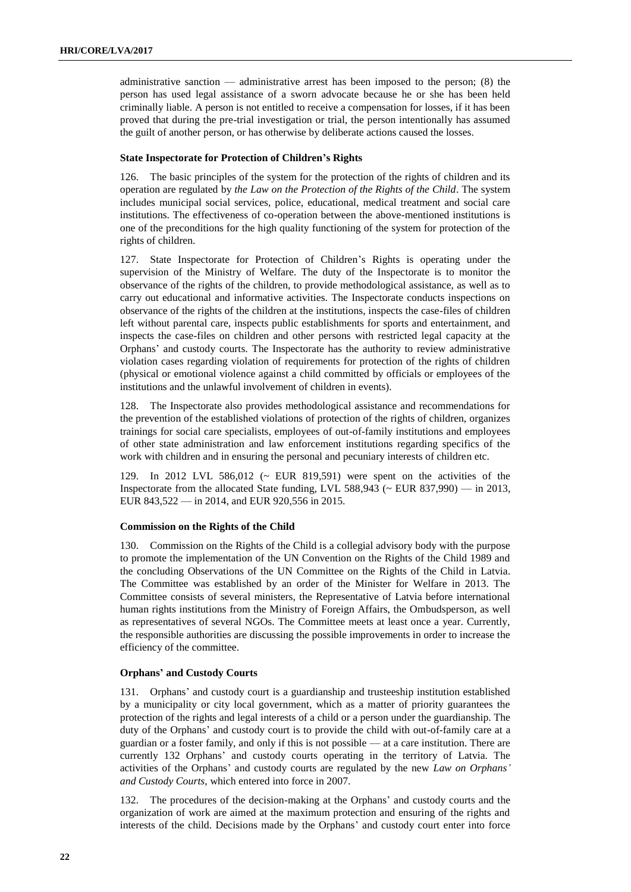administrative sanction — administrative arrest has been imposed to the person; (8) the person has used legal assistance of a sworn advocate because he or she has been held criminally liable. A person is not entitled to receive a compensation for losses, if it has been proved that during the pre-trial investigation or trial, the person intentionally has assumed the guilt of another person, or has otherwise by deliberate actions caused the losses.

#### **State Inspectorate for Protection of Children's Rights**

126. The basic principles of the system for the protection of the rights of children and its operation are regulated by *the Law on the Protection of the Rights of the Child*. The system includes municipal social services, police, educational, medical treatment and social care institutions. The effectiveness of co-operation between the above-mentioned institutions is one of the preconditions for the high quality functioning of the system for protection of the rights of children.

127. State Inspectorate for Protection of Children's Rights is operating under the supervision of the Ministry of Welfare. The duty of the Inspectorate is to monitor the observance of the rights of the children, to provide methodological assistance, as well as to carry out educational and informative activities. The Inspectorate conducts inspections on observance of the rights of the children at the institutions, inspects the case-files of children left without parental care, inspects public establishments for sports and entertainment, and inspects the case-files on children and other persons with restricted legal capacity at the Orphans' and custody courts. The Inspectorate has the authority to review administrative violation cases regarding violation of requirements for protection of the rights of children (physical or emotional violence against a child committed by officials or employees of the institutions and the unlawful involvement of children in events).

128. The Inspectorate also provides methodological assistance and recommendations for the prevention of the established violations of protection of the rights of children, organizes trainings for social care specialists, employees of out-of-family institutions and employees of other state administration and law enforcement institutions regarding specifics of the work with children and in ensuring the personal and pecuniary interests of children etc.

129. In 2012 LVL 586,012 (~ EUR 819,591) were spent on the activities of the Inspectorate from the allocated State funding, LVL 588,943 ( $\sim$  EUR 837,990) — in 2013, EUR 843,522 — in 2014, and EUR 920,556 in 2015.

#### **Commission on the Rights of the Child**

130. Commission on the Rights of the Child is a collegial advisory body with the purpose to promote the implementation of the UN Convention on the Rights of the Child 1989 and the concluding Observations of the UN Committee on the Rights of the Child in Latvia. The Committee was established by an order of the Minister for Welfare in 2013. The Committee consists of several ministers, the Representative of Latvia before international human rights institutions from the Ministry of Foreign Affairs, the Ombudsperson, as well as representatives of several NGOs. The Committee meets at least once a year. Currently, the responsible authorities are discussing the possible improvements in order to increase the efficiency of the committee.

#### **Orphans' and Custody Courts**

131. Orphans' and custody court is a guardianship and trusteeship institution established by a municipality or city local government, which as a matter of priority guarantees the protection of the rights and legal interests of a child or a person under the guardianship. The duty of the Orphans' and custody court is to provide the child with out-of-family care at a guardian or a foster family, and only if this is not possible — at a care institution. There are currently 132 Orphans' and custody courts operating in the territory of Latvia. The activities of the Orphans' and custody courts are regulated by the new *Law on Orphans' and Custody Courts*, which entered into force in 2007.

132. The procedures of the decision-making at the Orphans' and custody courts and the organization of work are aimed at the maximum protection and ensuring of the rights and interests of the child. Decisions made by the Orphans' and custody court enter into force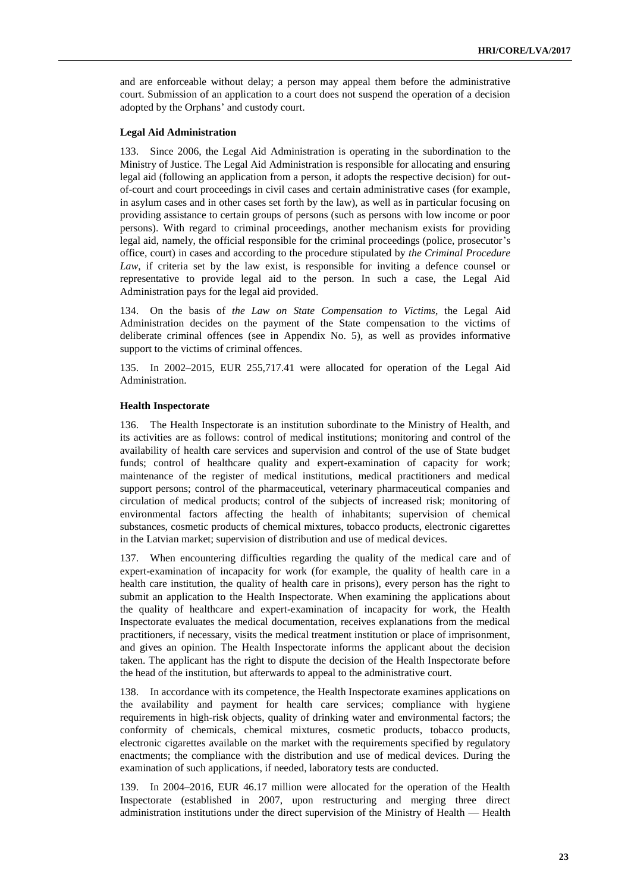and are enforceable without delay; a person may appeal them before the administrative court. Submission of an application to a court does not suspend the operation of a decision adopted by the Orphans' and custody court.

#### **Legal Aid Administration**

133. Since 2006, the Legal Aid Administration is operating in the subordination to the Ministry of Justice. The Legal Aid Administration is responsible for allocating and ensuring legal aid (following an application from a person, it adopts the respective decision) for outof-court and court proceedings in civil cases and certain administrative cases (for example, in asylum cases and in other cases set forth by the law), as well as in particular focusing on providing assistance to certain groups of persons (such as persons with low income or poor persons). With regard to criminal proceedings, another mechanism exists for providing legal aid, namely, the official responsible for the criminal proceedings (police, prosecutor's office, court) in cases and according to the procedure stipulated by *the Criminal Procedure Law*, if criteria set by the law exist, is responsible for inviting a defence counsel or representative to provide legal aid to the person. In such a case, the Legal Aid Administration pays for the legal aid provided.

134. On the basis of *the Law on State Compensation to Victims*, the Legal Aid Administration decides on the payment of the State compensation to the victims of deliberate criminal offences (see in Appendix No. 5), as well as provides informative support to the victims of criminal offences.

135. In 2002–2015, EUR 255,717.41 were allocated for operation of the Legal Aid Administration.

#### **Health Inspectorate**

136. The Health Inspectorate is an institution subordinate to the Ministry of Health, and its activities are as follows: control of medical institutions; monitoring and control of the availability of health care services and supervision and control of the use of State budget funds; control of healthcare quality and expert-examination of capacity for work; maintenance of the register of medical institutions, medical practitioners and medical support persons; control of the pharmaceutical, veterinary pharmaceutical companies and circulation of medical products; control of the subjects of increased risk; monitoring of environmental factors affecting the health of inhabitants; supervision of chemical substances, cosmetic products of chemical mixtures, tobacco products, electronic cigarettes in the Latvian market; supervision of distribution and use of medical devices.

137. When encountering difficulties regarding the quality of the medical care and of expert-examination of incapacity for work (for example, the quality of health care in a health care institution, the quality of health care in prisons), every person has the right to submit an application to the Health Inspectorate. When examining the applications about the quality of healthcare and expert-examination of incapacity for work, the Health Inspectorate evaluates the medical documentation, receives explanations from the medical practitioners, if necessary, visits the medical treatment institution or place of imprisonment, and gives an opinion. The Health Inspectorate informs the applicant about the decision taken. The applicant has the right to dispute the decision of the Health Inspectorate before the head of the institution, but afterwards to appeal to the administrative court.

138. In accordance with its competence, the Health Inspectorate examines applications on the availability and payment for health care services; compliance with hygiene requirements in high-risk objects, quality of drinking water and environmental factors; the conformity of chemicals, chemical mixtures, cosmetic products, tobacco products, electronic cigarettes available on the market with the requirements specified by regulatory enactments; the compliance with the distribution and use of medical devices. During the examination of such applications, if needed, laboratory tests are conducted.

139. In 2004–2016, EUR 46.17 million were allocated for the operation of the Health Inspectorate (established in 2007, upon restructuring and merging three direct administration institutions under the direct supervision of the Ministry of Health — Health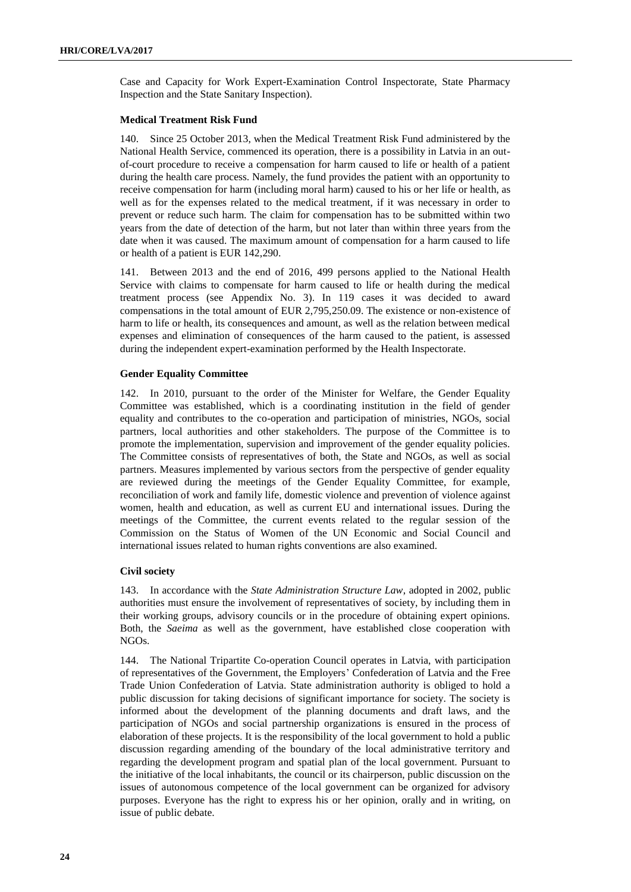Case and Capacity for Work Expert-Examination Control Inspectorate, State Pharmacy Inspection and the State Sanitary Inspection).

#### **Medical Treatment Risk Fund**

140. Since 25 October 2013, when the Medical Treatment Risk Fund administered by the National Health Service, commenced its operation, there is a possibility in Latvia in an outof-court procedure to receive a compensation for harm caused to life or health of a patient during the health care process. Namely, the fund provides the patient with an opportunity to receive compensation for harm (including moral harm) caused to his or her life or health, as well as for the expenses related to the medical treatment, if it was necessary in order to prevent or reduce such harm. The claim for compensation has to be submitted within two years from the date of detection of the harm, but not later than within three years from the date when it was caused. The maximum amount of compensation for a harm caused to life or health of a patient is EUR 142,290.

141. Between 2013 and the end of 2016, 499 persons applied to the National Health Service with claims to compensate for harm caused to life or health during the medical treatment process (see Appendix No. 3). In 119 cases it was decided to award compensations in the total amount of EUR 2,795,250.09. The existence or non-existence of harm to life or health, its consequences and amount, as well as the relation between medical expenses and elimination of consequences of the harm caused to the patient, is assessed during the independent expert-examination performed by the Health Inspectorate.

#### **Gender Equality Committee**

142. In 2010, pursuant to the order of the Minister for Welfare, the Gender Equality Committee was established, which is a coordinating institution in the field of gender equality and contributes to the co-operation and participation of ministries, NGOs, social partners, local authorities and other stakeholders. The purpose of the Committee is to promote the implementation, supervision and improvement of the gender equality policies. The Committee consists of representatives of both, the State and NGOs, as well as social partners. Measures implemented by various sectors from the perspective of gender equality are reviewed during the meetings of the Gender Equality Committee, for example, reconciliation of work and family life, domestic violence and prevention of violence against women, health and education, as well as current EU and international issues. During the meetings of the Committee, the current events related to the regular session of the Commission on the Status of Women of the UN Economic and Social Council and international issues related to human rights conventions are also examined.

#### **Civil society**

143. In accordance with the *State Administration Structure Law*, adopted in 2002, public authorities must ensure the involvement of representatives of society, by including them in their working groups, advisory councils or in the procedure of obtaining expert opinions. Both, the *Saeima* as well as the government, have established close cooperation with NGOs.

144. The National Tripartite Co-operation Council operates in Latvia, with participation of representatives of the Government, the Employers' Confederation of Latvia and the Free Trade Union Confederation of Latvia. State administration authority is obliged to hold a public discussion for taking decisions of significant importance for society. The society is informed about the development of the planning documents and draft laws, and the participation of NGOs and social partnership organizations is ensured in the process of elaboration of these projects. It is the responsibility of the local government to hold a public discussion regarding amending of the boundary of the local administrative territory and regarding the development program and spatial plan of the local government. Pursuant to the initiative of the local inhabitants, the council or its chairperson, public discussion on the issues of autonomous competence of the local government can be organized for advisory purposes. Everyone has the right to express his or her opinion, orally and in writing, on issue of public debate.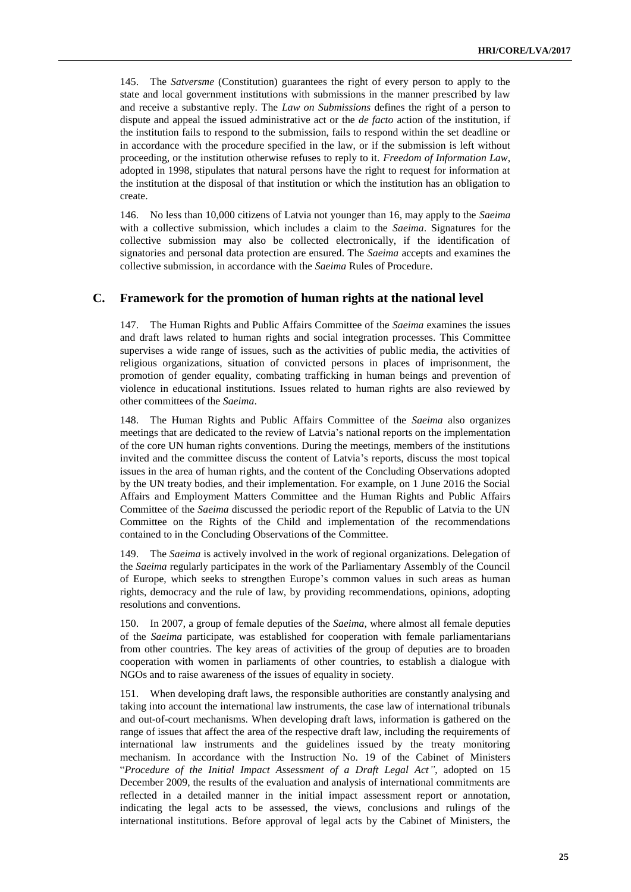145. The *Satversme* (Constitution) guarantees the right of every person to apply to the state and local government institutions with submissions in the manner prescribed by law and receive a substantive reply. The *Law on Submissions* defines the right of a person to dispute and appeal the issued administrative act or the *de facto* action of the institution, if the institution fails to respond to the submission, fails to respond within the set deadline or in accordance with the procedure specified in the law, or if the submission is left without proceeding, or the institution otherwise refuses to reply to it. *Freedom of Information Law*, adopted in 1998, stipulates that natural persons have the right to request for information at the institution at the disposal of that institution or which the institution has an obligation to create.

146. No less than 10,000 citizens of Latvia not younger than 16, may apply to the *Saeima* with a collective submission, which includes a claim to the *Saeima*. Signatures for the collective submission may also be collected electronically, if the identification of signatories and personal data protection are ensured. The *Saeima* accepts and examines the collective submission, in accordance with the *Saeima* Rules of Procedure.

#### **C. Framework for the promotion of human rights at the national level**

147. The Human Rights and Public Affairs Committee of the *Saeima* examines the issues and draft laws related to human rights and social integration processes. This Committee supervises a wide range of issues, such as the activities of public media, the activities of religious organizations, situation of convicted persons in places of imprisonment, the promotion of gender equality, combating trafficking in human beings and prevention of violence in educational institutions. Issues related to human rights are also reviewed by other committees of the *Saeima*.

148. The Human Rights and Public Affairs Committee of the *Saeima* also organizes meetings that are dedicated to the review of Latvia's national reports on the implementation of the core UN human rights conventions. During the meetings, members of the institutions invited and the committee discuss the content of Latvia's reports, discuss the most topical issues in the area of human rights, and the content of the Concluding Observations adopted by the UN treaty bodies, and their implementation. For example, on 1 June 2016 the Social Affairs and Employment Matters Committee and the Human Rights and Public Affairs Committee of the *Saeima* discussed the periodic report of the Republic of Latvia to the UN Committee on the Rights of the Child and implementation of the recommendations contained to in the Concluding Observations of the Committee.

149. The *Saeima* is actively involved in the work of regional organizations. Delegation of the *Saeima* regularly participates in the work of the Parliamentary Assembly of the Council of Europe, which seeks to strengthen Europe's common values in such areas as human rights, democracy and the rule of law, by providing recommendations, opinions, adopting resolutions and conventions.

150. In 2007, a group of female deputies of the *Saeima,* where almost all female deputies of the *Saeima* participate, was established for cooperation with female parliamentarians from other countries. The key areas of activities of the group of deputies are to broaden cooperation with women in parliaments of other countries, to establish a dialogue with NGOs and to raise awareness of the issues of equality in society.

151. When developing draft laws, the responsible authorities are constantly analysing and taking into account the international law instruments, the case law of international tribunals and out-of-court mechanisms. When developing draft laws, information is gathered on the range of issues that affect the area of the respective draft law, including the requirements of international law instruments and the guidelines issued by the treaty monitoring mechanism. In accordance with the Instruction No. 19 of the Cabinet of Ministers "*Procedure of the Initial Impact Assessment of a Draft Legal Act"*, adopted on 15 December 2009, the results of the evaluation and analysis of international commitments are reflected in a detailed manner in the initial impact assessment report or annotation, indicating the legal acts to be assessed, the views, conclusions and rulings of the international institutions. Before approval of legal acts by the Cabinet of Ministers, the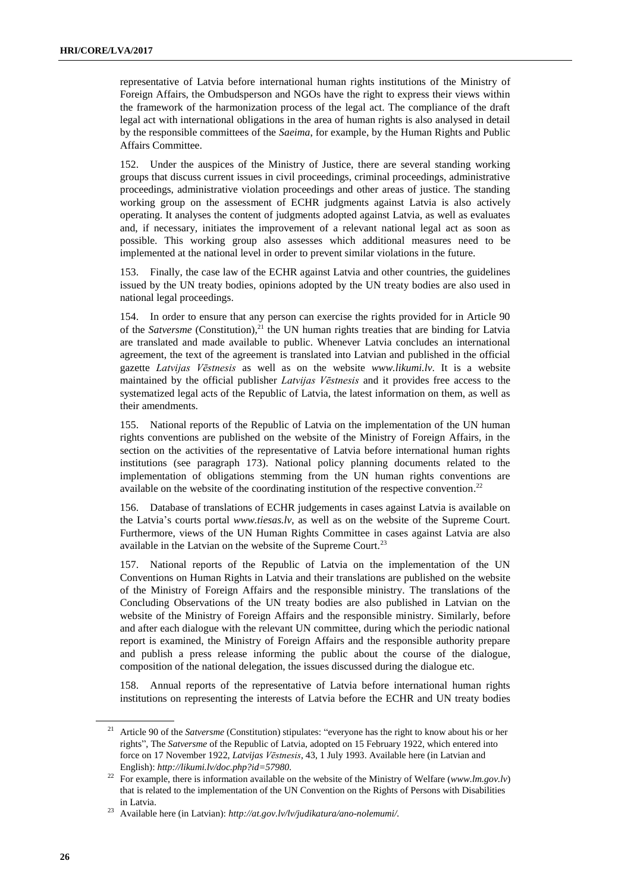representative of Latvia before international human rights institutions of the Ministry of Foreign Affairs, the Ombudsperson and NGOs have the right to express their views within the framework of the harmonization process of the legal act. The compliance of the draft legal act with international obligations in the area of human rights is also analysed in detail by the responsible committees of the *Saeima*, for example, by the Human Rights and Public Affairs Committee.

152. Under the auspices of the Ministry of Justice, there are several standing working groups that discuss current issues in civil proceedings, criminal proceedings, administrative proceedings, administrative violation proceedings and other areas of justice. The standing working group on the assessment of ECHR judgments against Latvia is also actively operating. It analyses the content of judgments adopted against Latvia, as well as evaluates and, if necessary, initiates the improvement of a relevant national legal act as soon as possible. This working group also assesses which additional measures need to be implemented at the national level in order to prevent similar violations in the future.

153. Finally, the case law of the ECHR against Latvia and other countries, the guidelines issued by the UN treaty bodies, opinions adopted by the UN treaty bodies are also used in national legal proceedings.

154. In order to ensure that any person can exercise the rights provided for in Article 90 of the *Satversme* (Constitution), <sup>21</sup> the UN human rights treaties that are binding for Latvia are translated and made available to public. Whenever Latvia concludes an international agreement, the text of the agreement is translated into Latvian and published in the official gazette *Latvijas Vēstnesis* as well as on the website *[www.likumi.lv](http://www.likumi.lv/)*. It is a website maintained by the official publisher *Latvijas Vēstnesis* and it provides free access to the systematized legal acts of the Republic of Latvia, the latest information on them, as well as their amendments.

155. National reports of the Republic of Latvia on the implementation of the UN human rights conventions are published on the website of the Ministry of Foreign Affairs, in the section on the activities of the representative of Latvia before international human rights institutions (see paragraph 173). National policy planning documents related to the implementation of obligations stemming from the UN human rights conventions are available on the website of the coordinating institution of the respective convention.<sup>22</sup>

156. Database of translations of ECHR judgements in cases against Latvia is available on the Latvia's courts portal *[www.tiesas.lv](http://www.tiesas.lv/)*, as well as on the website of the Supreme Court. Furthermore, views of the UN Human Rights Committee in cases against Latvia are also available in the Latvian on the website of the Supreme Court.<sup>23</sup>

157. National reports of the Republic of Latvia on the implementation of the UN Conventions on Human Rights in Latvia and their translations are published on the website of the Ministry of Foreign Affairs and the responsible ministry. The translations of the Concluding Observations of the UN treaty bodies are also published in Latvian on the website of the Ministry of Foreign Affairs and the responsible ministry. Similarly, before and after each dialogue with the relevant UN committee, during which the periodic national report is examined, the Ministry of Foreign Affairs and the responsible authority prepare and publish a press release informing the public about the course of the dialogue, composition of the national delegation, the issues discussed during the dialogue etc.

158. Annual reports of the representative of Latvia before international human rights institutions on representing the interests of Latvia before the ECHR and UN treaty bodies

<sup>&</sup>lt;sup>21</sup> Article 90 of the *Satversme* (Constitution) stipulates: "everyone has the right to know about his or her rights", The *Satversme* of the Republic of Latvia, adopted on 15 February 1922, which entered into force on 17 November 1922, *[Latvijas](https://www.vestnesis.lv/ta/id/57980-latvijas-republikas-satversme) Vēstnesis*, 43, 1 July 1993. Available here (in Latvian and English): *http://likumi.lv/doc.php?id=57980.*

<sup>22</sup> For example, there is information available on the website of the Ministry of Welfare (*[www.lm.gov.lv](http://www.lm.gov.lv/)*) that is related to the implementation of the UN Convention on the Rights of Persons with Disabilities in Latvia.

<sup>23</sup> Available here (in Latvian): *[http://at.gov.lv/lv/judikatura/ano-nolemumi/.](http://at.gov.lv/lv/judikatura/ano-nolemumi/)*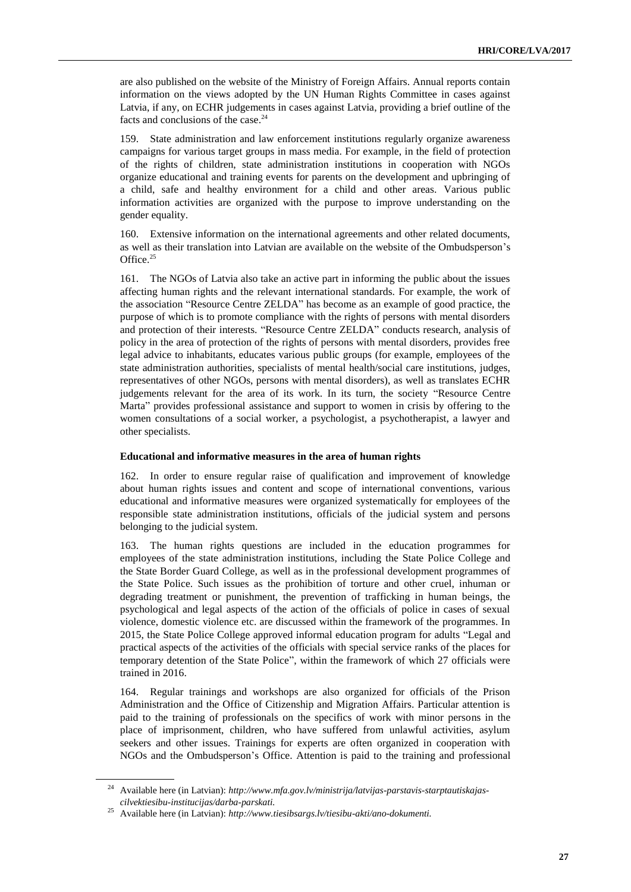are also published on the website of the Ministry of Foreign Affairs. Annual reports contain information on the views adopted by the UN Human Rights Committee in cases against Latvia, if any, on ECHR judgements in cases against Latvia, providing a brief outline of the facts and conclusions of the case. 24

159. State administration and law enforcement institutions regularly organize awareness campaigns for various target groups in mass media. For example, in the field of protection of the rights of children, state administration institutions in cooperation with NGOs organize educational and training events for parents on the development and upbringing of a child, safe and healthy environment for a child and other areas. Various public information activities are organized with the purpose to improve understanding on the gender equality.

160. Extensive information on the international agreements and other related documents, as well as their translation into Latvian are available on the website of the Ombudsperson's Office. 25

161. The NGOs of Latvia also take an active part in informing the public about the issues affecting human rights and the relevant international standards. For example, the work of the association "Resource Centre ZELDA" has become as an example of good practice, the purpose of which is to promote compliance with the rights of persons with mental disorders and protection of their interests. "Resource Centre ZELDA" conducts research, analysis of policy in the area of protection of the rights of persons with mental disorders, provides free legal advice to inhabitants, educates various public groups (for example, employees of the state administration authorities, specialists of mental health/social care institutions, judges, representatives of other NGOs, persons with mental disorders), as well as translates ECHR judgements relevant for the area of its work. In its turn, the society "Resource Centre Marta" provides professional assistance and support to women in crisis by offering to the women consultations of a social worker, a psychologist, a psychotherapist, a lawyer and other specialists.

#### **Educational and informative measures in the area of human rights**

162. In order to ensure regular raise of qualification and improvement of knowledge about human rights issues and content and scope of international conventions, various educational and informative measures were organized systematically for employees of the responsible state administration institutions, officials of the judicial system and persons belonging to the judicial system.

163. The human rights questions are included in the education programmes for employees of the state administration institutions, including the State Police College and the State Border Guard College, as well as in the professional development programmes of the State Police. Such issues as the prohibition of torture and other cruel, inhuman or degrading treatment or punishment, the prevention of trafficking in human beings, the psychological and legal aspects of the action of the officials of police in cases of sexual violence, domestic violence etc. are discussed within the framework of the programmes. In 2015, the State Police College approved informal education program for adults "Legal and practical aspects of the activities of the officials with special service ranks of the places for temporary detention of the State Police", within the framework of which 27 officials were trained in 2016.

164. Regular trainings and workshops are also organized for officials of the Prison Administration and the Office of Citizenship and Migration Affairs. Particular attention is paid to the training of professionals on the specifics of work with minor persons in the place of imprisonment, children, who have suffered from unlawful activities, asylum seekers and other issues. Trainings for experts are often organized in cooperation with NGOs and the Ombudsperson's Office. Attention is paid to the training and professional

<sup>24</sup> Available here (in Latvian): *[http://www.mfa.gov.lv/ministrija/latvijas-parstavis-starptautiskajas](http://www.mfa.gov.lv/ministrija/latvijas-parstavis-starptautiskajas-cilvektiesibu-institucijas/darba-parskati)[cilvektiesibu-institucijas/darba-parskati.](http://www.mfa.gov.lv/ministrija/latvijas-parstavis-starptautiskajas-cilvektiesibu-institucijas/darba-parskati)*

<sup>25</sup> Available here (in Latvian): *http://www.tiesibsargs.lv/tiesibu-akti/ano-dokumenti.*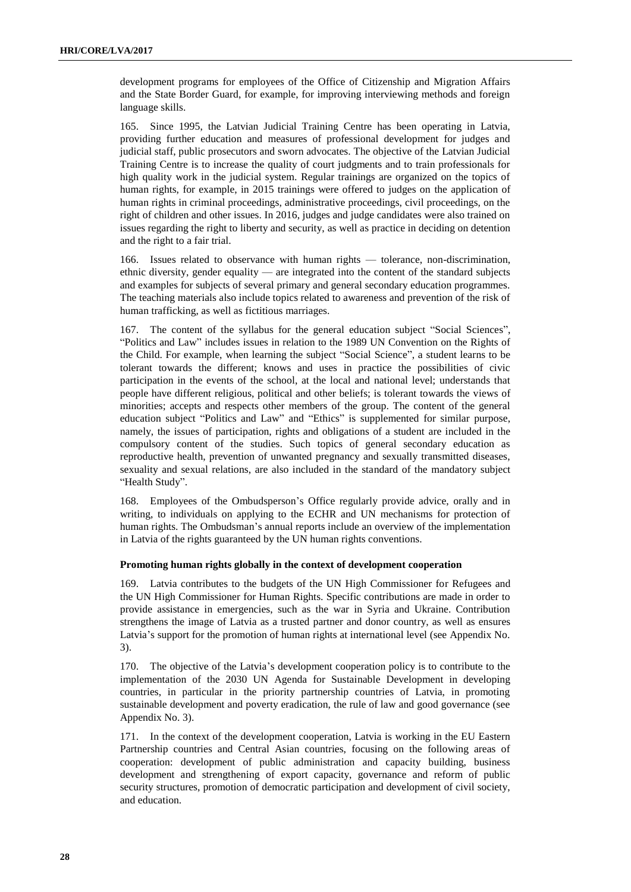development programs for employees of the Office of Citizenship and Migration Affairs and the State Border Guard, for example, for improving interviewing methods and foreign language skills.

165. Since 1995, the Latvian Judicial Training Centre has been operating in Latvia, providing further education and measures of professional development for judges and judicial staff, public prosecutors and sworn advocates. The objective of the Latvian Judicial Training Centre is to increase the quality of court judgments and to train professionals for high quality work in the judicial system. Regular trainings are organized on the topics of human rights, for example, in 2015 trainings were offered to judges on the application of human rights in criminal proceedings, administrative proceedings, civil proceedings, on the right of children and other issues. In 2016, judges and judge candidates were also trained on issues regarding the right to liberty and security, as well as practice in deciding on detention and the right to a fair trial.

166. Issues related to observance with human rights — tolerance, non-discrimination, ethnic diversity, gender equality — are integrated into the content of the standard subjects and examples for subjects of several primary and general secondary education programmes. The teaching materials also include topics related to awareness and prevention of the risk of human trafficking, as well as fictitious marriages.

167. The content of the syllabus for the general education subject "Social Sciences", "Politics and Law" includes issues in relation to the 1989 UN Convention on the Rights of the Child. For example, when learning the subject "Social Science", a student learns to be tolerant towards the different; knows and uses in practice the possibilities of civic participation in the events of the school, at the local and national level; understands that people have different religious, political and other beliefs; is tolerant towards the views of minorities; accepts and respects other members of the group. The content of the general education subject "Politics and Law" and "Ethics" is supplemented for similar purpose, namely, the issues of participation, rights and obligations of a student are included in the compulsory content of the studies. Such topics of general secondary education as reproductive health, prevention of unwanted pregnancy and sexually transmitted diseases, sexuality and sexual relations, are also included in the standard of the mandatory subject "Health Study".

168. Employees of the Ombudsperson's Office regularly provide advice, orally and in writing, to individuals on applying to the ECHR and UN mechanisms for protection of human rights. The Ombudsman's annual reports include an overview of the implementation in Latvia of the rights guaranteed by the UN human rights conventions.

#### **Promoting human rights globally in the context of development cooperation**

169. Latvia contributes to the budgets of the UN High Commissioner for Refugees and the UN High Commissioner for Human Rights. Specific contributions are made in order to provide assistance in emergencies, such as the war in Syria and Ukraine. Contribution strengthens the image of Latvia as a trusted partner and donor country, as well as ensures Latvia's support for the promotion of human rights at international level (see Appendix No. 3).

170. The objective of the Latvia's development cooperation policy is to contribute to the implementation of the 2030 UN Agenda for Sustainable Development in developing countries, in particular in the priority partnership countries of Latvia, in promoting sustainable development and poverty eradication, the rule of law and good governance (see Appendix No. 3).

171. In the context of the development cooperation, Latvia is working in the EU Eastern Partnership countries and Central Asian countries, focusing on the following areas of cooperation: development of public administration and capacity building, business development and strengthening of export capacity, governance and reform of public security structures, promotion of democratic participation and development of civil society, and education.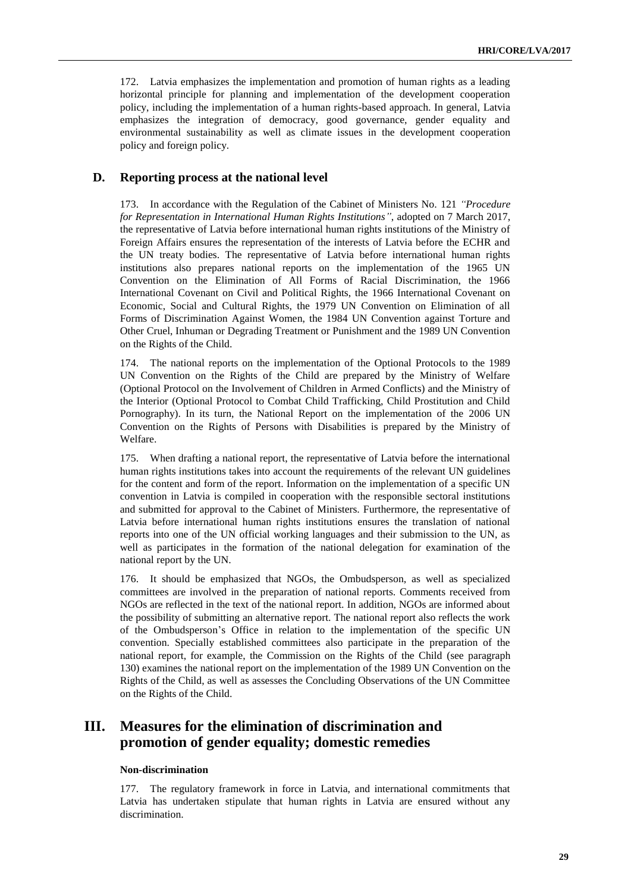172. Latvia emphasizes the implementation and promotion of human rights as a leading horizontal principle for planning and implementation of the development cooperation policy, including the implementation of a human rights-based approach. In general, Latvia emphasizes the integration of democracy, good governance, gender equality and environmental sustainability as well as climate issues in the development cooperation policy and foreign policy.

#### **D. Reporting process at the national level**

173. In accordance with the Regulation of the Cabinet of Ministers No. 121 *"Procedure for Representation in International Human Rights Institutions"*, adopted on 7 March 2017, the representative of Latvia before international human rights institutions of the Ministry of Foreign Affairs ensures the representation of the interests of Latvia before the ECHR and the UN treaty bodies. The representative of Latvia before international human rights institutions also prepares national reports on the implementation of the 1965 UN Convention on the Elimination of All Forms of Racial Discrimination, the 1966 International Covenant on Civil and Political Rights, the 1966 International Covenant on Economic, Social and Cultural Rights, the 1979 UN Convention on Elimination of all Forms of Discrimination Against Women, the 1984 UN Convention against Torture and Other Cruel, Inhuman or Degrading Treatment or Punishment and the 1989 UN Convention on the Rights of the Child.

174. The national reports on the implementation of the Optional Protocols to the 1989 UN Convention on the Rights of the Child are prepared by the Ministry of Welfare (Optional Protocol on the Involvement of Children in Armed Conflicts) and the Ministry of the Interior (Optional Protocol to Combat Child Trafficking, Child Prostitution and Child Pornography). In its turn, the National Report on the implementation of the 2006 UN Convention on the Rights of Persons with Disabilities is prepared by the Ministry of Welfare.

175. When drafting a national report, the representative of Latvia before the international human rights institutions takes into account the requirements of the relevant UN guidelines for the content and form of the report. Information on the implementation of a specific UN convention in Latvia is compiled in cooperation with the responsible sectoral institutions and submitted for approval to the Cabinet of Ministers. Furthermore, the representative of Latvia before international human rights institutions ensures the translation of national reports into one of the UN official working languages and their submission to the UN, as well as participates in the formation of the national delegation for examination of the national report by the UN.

176. It should be emphasized that NGOs, the Ombudsperson, as well as specialized committees are involved in the preparation of national reports. Comments received from NGOs are reflected in the text of the national report. In addition, NGOs are informed about the possibility of submitting an alternative report. The national report also reflects the work of the Ombudsperson's Office in relation to the implementation of the specific UN convention. Specially established committees also participate in the preparation of the national report, for example, the Commission on the Rights of the Child (see paragraph 130) examines the national report on the implementation of the 1989 UN Convention on the Rights of the Child, as well as assesses the Concluding Observations of the UN Committee on the Rights of the Child.

## **III. Measures for the elimination of discrimination and promotion of gender equality; domestic remedies**

#### **Non-discrimination**

177. The regulatory framework in force in Latvia, and international commitments that Latvia has undertaken stipulate that human rights in Latvia are ensured without any discrimination.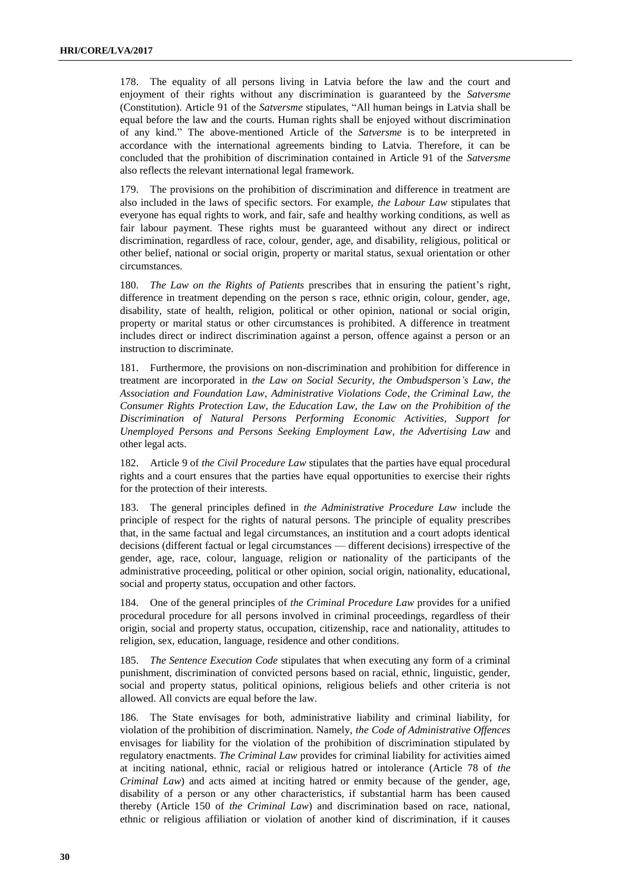178. The equality of all persons living in Latvia before the law and the court and enjoyment of their rights without any discrimination is guaranteed by the *Satversme* (Constitution). Article 91 of the *Satversme* stipulates, "All human beings in Latvia shall be equal before the law and the courts. Human rights shall be enjoyed without discrimination of any kind." The above-mentioned Article of the *Satversme* is to be interpreted in accordance with the international agreements binding to Latvia. Therefore, it can be concluded that the prohibition of discrimination contained in Article 91 of the *Satversme* also reflects the relevant international legal framework.

179. The provisions on the prohibition of discrimination and difference in treatment are also included in the laws of specific sectors. For example, *the Labour Law* stipulates that everyone has equal rights to work, and fair, safe and healthy working conditions, as well as fair labour payment. These rights must be guaranteed without any direct or indirect discrimination, regardless of race, colour, gender, age, and disability, religious, political or other belief, national or social origin, property or marital status, sexual orientation or other circumstances.

180. *The Law on the Rights of Patients* prescribes that in ensuring the patient's right, difference in treatment depending on the person s race, ethnic origin, colour, gender, age, disability, state of health, religion, political or other opinion, national or social origin, property or marital status or other circumstances is prohibited. A difference in treatment includes direct or indirect discrimination against a person, offence against a person or an instruction to discriminate.

181. Furthermore, the provisions on non-discrimination and prohibition for difference in treatment are incorporated in *the Law on Social Security*, *the Ombudsperson's Law*, *the Association and Foundation Law*, *Administrative Violations Code*, *the Criminal Law*, *the Consumer Rights Protection Law*, *the Education Law*, *the Law on the Prohibition of the Discrimination of Natural Persons Performing Economic Activities, Support for Unemployed Persons and Persons Seeking Employment Law*, *the Advertising Law* and other legal acts.

182. Article 9 of *the Civil Procedure Law* stipulates that the parties have equal procedural rights and a court ensures that the parties have equal opportunities to exercise their rights for the protection of their interests.

183. The general principles defined in *the Administrative Procedure Law* include the principle of respect for the rights of natural persons. The principle of equality prescribes that, in the same factual and legal circumstances, an institution and a court adopts identical decisions (different factual or legal circumstances — different decisions) irrespective of the gender, age, race, colour, language, religion or nationality of the participants of the administrative proceeding, political or other opinion, social origin, nationality, educational, social and property status, occupation and other factors.

184. One of the general principles of *the Criminal Procedure Law* provides for a unified procedural procedure for all persons involved in criminal proceedings, regardless of their origin, social and property status, occupation, citizenship, race and nationality, attitudes to religion, sex, education, language, residence and other conditions.

185. *The Sentence Execution Code* stipulates that when executing any form of a criminal punishment, discrimination of convicted persons based on racial, ethnic, linguistic, gender, social and property status, political opinions, religious beliefs and other criteria is not allowed. All convicts are equal before the law.

186. The State envisages for both, administrative liability and criminal liability, for violation of the prohibition of discrimination. Namely, *the Code of Administrative Offences* envisages for liability for the violation of the prohibition of discrimination stipulated by regulatory enactments. *The Criminal Law* provides for criminal liability for activities aimed at inciting national, ethnic, racial or religious hatred or intolerance (Article 78 of *the Criminal Law*) and acts aimed at inciting hatred or enmity because of the gender, age, disability of a person or any other characteristics, if substantial harm has been caused thereby (Article 150 of *the Criminal Law*) and discrimination based on race, national, ethnic or religious affiliation or violation of another kind of discrimination, if it causes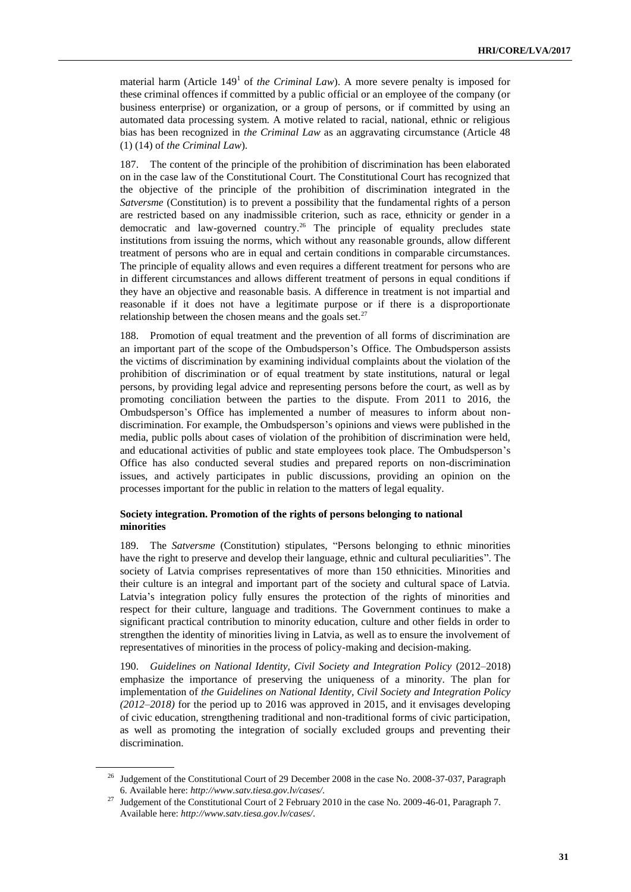material harm (Article  $149<sup>1</sup>$  of *the Criminal Law*). A more severe penalty is imposed for these criminal offences if committed by a public official or an employee of the company (or business enterprise) or organization, or a group of persons, or if committed by using an automated data processing system. A motive related to racial, national, ethnic or religious bias has been recognized in *the Criminal Law* as an aggravating circumstance (Article 48 (1) (14) of *the Criminal Law*).

187. The content of the principle of the prohibition of discrimination has been elaborated on in the case law of the Constitutional Court. The Constitutional Court has recognized that the objective of the principle of the prohibition of discrimination integrated in the *Satversme* (Constitution) is to prevent a possibility that the fundamental rights of a person are restricted based on any inadmissible criterion, such as race, ethnicity or gender in a democratic and law-governed country. <sup>26</sup> The principle of equality precludes state institutions from issuing the norms, which without any reasonable grounds, allow different treatment of persons who are in equal and certain conditions in comparable circumstances. The principle of equality allows and even requires a different treatment for persons who are in different circumstances and allows different treatment of persons in equal conditions if they have an objective and reasonable basis. A difference in treatment is not impartial and reasonable if it does not have a legitimate purpose or if there is a disproportionate relationship between the chosen means and the goals set. $27$ 

188. Promotion of equal treatment and the prevention of all forms of discrimination are an important part of the scope of the Ombudsperson's Office. The Ombudsperson assists the victims of discrimination by examining individual complaints about the violation of the prohibition of discrimination or of equal treatment by state institutions, natural or legal persons, by providing legal advice and representing persons before the court, as well as by promoting conciliation between the parties to the dispute. From 2011 to 2016, the Ombudsperson's Office has implemented a number of measures to inform about nondiscrimination. For example, the Ombudsperson's opinions and views were published in the media, public polls about cases of violation of the prohibition of discrimination were held, and educational activities of public and state employees took place. The Ombudsperson's Office has also conducted several studies and prepared reports on non-discrimination issues, and actively participates in public discussions, providing an opinion on the processes important for the public in relation to the matters of legal equality.

#### **Society integration. Promotion of the rights of persons belonging to national minorities**

189. The *Satversme* (Constitution) stipulates, "Persons belonging to ethnic minorities have the right to preserve and develop their language, ethnic and cultural peculiarities". The society of Latvia comprises representatives of more than 150 ethnicities. Minorities and their culture is an integral and important part of the society and cultural space of Latvia. Latvia's integration policy fully ensures the protection of the rights of minorities and respect for their culture, language and traditions. The Government continues to make a significant practical contribution to minority education, culture and other fields in order to strengthen the identity of minorities living in Latvia, as well as to ensure the involvement of representatives of minorities in the process of policy-making and decision-making.

190. *Guidelines on National Identity, Civil Society and Integration Policy* (2012–2018) emphasize the importance of preserving the uniqueness of a minority. The plan for implementation of *the Guidelines on National Identity, Civil Society and Integration Policy (2012–2018)* for the period up to 2016 was approved in 2015, and it envisages developing of civic education, strengthening traditional and non-traditional forms of civic participation, as well as promoting the integration of socially excluded groups and preventing their discrimination.

<sup>26</sup> Judgement of the Constitutional Court of 29 December 2008 in the case No. 2008-37-037, Paragraph 6. Available here: *http://www.satv.tiesa.gov.lv/cases/*.

<sup>&</sup>lt;sup>27</sup> Judgement of the Constitutional Court of 2 February 2010 in the case No. 2009-46-01, Paragraph 7. Available here: *http://www.satv.tiesa.gov.lv/cases/*.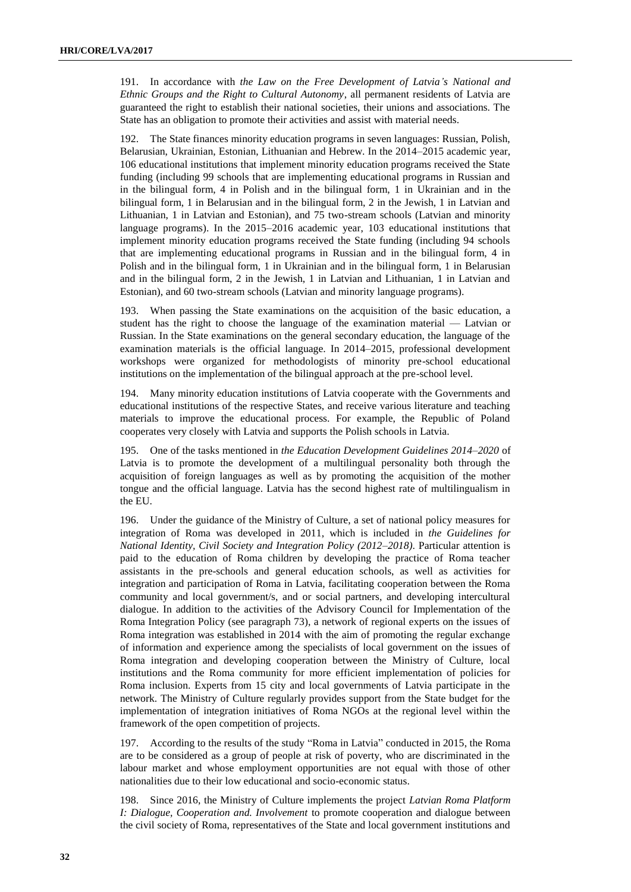191. In accordance with *the Law on the Free Development of Latvia's National and Ethnic Groups and the Right to Cultural Autonomy*, all permanent residents of Latvia are guaranteed the right to establish their national societies, their unions and associations. The State has an obligation to promote their activities and assist with material needs.

192. The State finances minority education programs in seven languages: Russian, Polish, Belarusian, Ukrainian, Estonian, Lithuanian and Hebrew. In the 2014–2015 academic year, 106 educational institutions that implement minority education programs received the State funding (including 99 schools that are implementing educational programs in Russian and in the bilingual form, 4 in Polish and in the bilingual form, 1 in Ukrainian and in the bilingual form, 1 in Belarusian and in the bilingual form, 2 in the Jewish, 1 in Latvian and Lithuanian, 1 in Latvian and Estonian), and 75 two-stream schools (Latvian and minority language programs). In the 2015–2016 academic year, 103 educational institutions that implement minority education programs received the State funding (including 94 schools that are implementing educational programs in Russian and in the bilingual form, 4 in Polish and in the bilingual form, 1 in Ukrainian and in the bilingual form, 1 in Belarusian and in the bilingual form, 2 in the Jewish, 1 in Latvian and Lithuanian, 1 in Latvian and Estonian), and 60 two-stream schools (Latvian and minority language programs).

193. When passing the State examinations on the acquisition of the basic education, a student has the right to choose the language of the examination material — Latvian or Russian. In the State examinations on the general secondary education, the language of the examination materials is the official language. In 2014–2015, professional development workshops were organized for methodologists of minority pre-school educational institutions on the implementation of the bilingual approach at the pre-school level.

194. Many minority education institutions of Latvia cooperate with the Governments and educational institutions of the respective States, and receive various literature and teaching materials to improve the educational process. For example, the Republic of Poland cooperates very closely with Latvia and supports the Polish schools in Latvia.

195. One of the tasks mentioned in *the Education Development Guidelines 2014–2020* of Latvia is to promote the development of a multilingual personality both through the acquisition of foreign languages as well as by promoting the acquisition of the mother tongue and the official language. Latvia has the second highest rate of multilingualism in the EU.

196. Under the guidance of the Ministry of Culture, a set of national policy measures for integration of Roma was developed in 2011, which is included in *the Guidelines for National Identity, Civil Society and Integration Policy (2012–2018)*. Particular attention is paid to the education of Roma children by developing the practice of Roma teacher assistants in the pre-schools and general education schools, as well as activities for integration and participation of Roma in Latvia, facilitating cooperation between the Roma community and local government/s, and or social partners, and developing intercultural dialogue. In addition to the activities of the Advisory Council for Implementation of the Roma Integration Policy (see paragraph 73), a network of regional experts on the issues of Roma integration was established in 2014 with the aim of promoting the regular exchange of information and experience among the specialists of local government on the issues of Roma integration and developing cooperation between the Ministry of Culture, local institutions and the Roma community for more efficient implementation of policies for Roma inclusion. Experts from 15 city and local governments of Latvia participate in the network. The Ministry of Culture regularly provides support from the State budget for the implementation of integration initiatives of Roma NGOs at the regional level within the framework of the open competition of projects.

197. According to the results of the study "Roma in Latvia" conducted in 2015, the Roma are to be considered as a group of people at risk of poverty, who are discriminated in the labour market and whose employment opportunities are not equal with those of other nationalities due to their low educational and socio-economic status.

198. Since 2016, the Ministry of Culture implements the project *Latvian Roma Platform I: Dialogue, Cooperation and. Involvement* to promote cooperation and dialogue between the civil society of Roma, representatives of the State and local government institutions and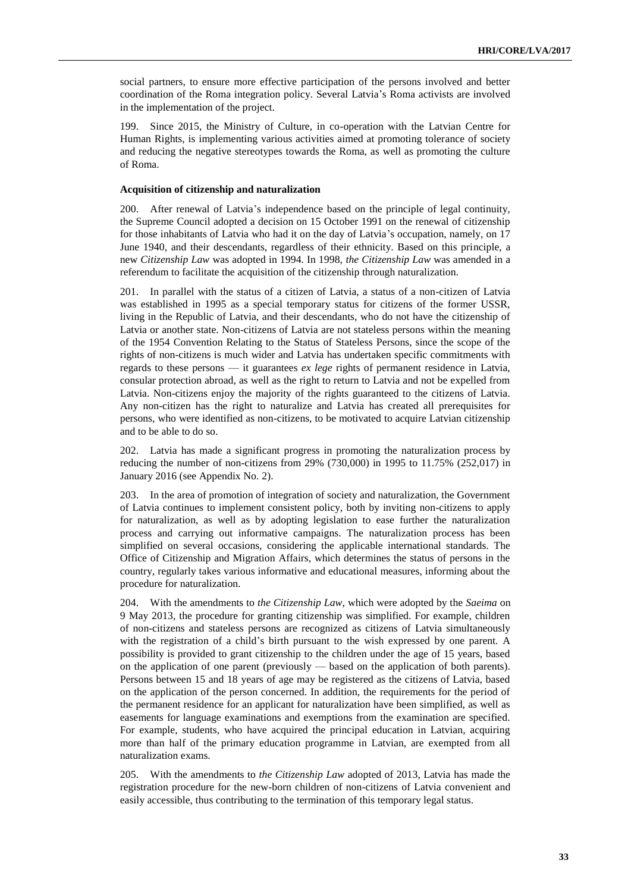social partners, to ensure more effective participation of the persons involved and better coordination of the Roma integration policy. Several Latvia's Roma activists are involved in the implementation of the project.

199. Since 2015, the Ministry of Culture, in co-operation with the Latvian Centre for Human Rights, is implementing various activities aimed at promoting tolerance of society and reducing the negative stereotypes towards the Roma, as well as promoting the culture of Roma.

#### **Acquisition of citizenship and naturalization**

200. After renewal of Latvia's independence based on the principle of legal continuity, the Supreme Council adopted a decision on 15 October 1991 on the renewal of citizenship for those inhabitants of Latvia who had it on the day of Latvia's occupation, namely, on 17 June 1940, and their descendants, regardless of their ethnicity. Based on this principle, a new *Citizenship Law* was adopted in 1994. In 1998, *the Citizenship Law* was amended in a referendum to facilitate the acquisition of the citizenship through naturalization.

201. In parallel with the status of a citizen of Latvia, a status of a non-citizen of Latvia was established in 1995 as a special temporary status for citizens of the former USSR, living in the Republic of Latvia, and their descendants, who do not have the citizenship of Latvia or another state. Non-citizens of Latvia are not stateless persons within the meaning of the 1954 Convention Relating to the Status of Stateless Persons, since the scope of the rights of non-citizens is much wider and Latvia has undertaken specific commitments with regards to these persons — it guarantees *ex lege* rights of permanent residence in Latvia, consular protection abroad, as well as the right to return to Latvia and not be expelled from Latvia. Non-citizens enjoy the majority of the rights guaranteed to the citizens of Latvia. Any non-citizen has the right to naturalize and Latvia has created all prerequisites for persons, who were identified as non-citizens, to be motivated to acquire Latvian citizenship and to be able to do so.

202. Latvia has made a significant progress in promoting the naturalization process by reducing the number of non-citizens from 29% (730,000) in 1995 to 11.75% (252,017) in January 2016 (see Appendix No. 2).

203. In the area of promotion of integration of society and naturalization, the Government of Latvia continues to implement consistent policy, both by inviting non-citizens to apply for naturalization, as well as by adopting legislation to ease further the naturalization process and carrying out informative campaigns. The naturalization process has been simplified on several occasions, considering the applicable international standards. The Office of Citizenship and Migration Affairs, which determines the status of persons in the country, regularly takes various informative and educational measures, informing about the procedure for naturalization.

204. With the amendments to *the Citizenship Law*, which were adopted by the *Saeima* on 9 May 2013, the procedure for granting citizenship was simplified. For example, children of non-citizens and stateless persons are recognized as citizens of Latvia simultaneously with the registration of a child's birth pursuant to the wish expressed by one parent. A possibility is provided to grant citizenship to the children under the age of 15 years, based on the application of one parent (previously — based on the application of both parents). Persons between 15 and 18 years of age may be registered as the citizens of Latvia, based on the application of the person concerned. In addition, the requirements for the period of the permanent residence for an applicant for naturalization have been simplified, as well as easements for language examinations and exemptions from the examination are specified. For example, students, who have acquired the principal education in Latvian, acquiring more than half of the primary education programme in Latvian, are exempted from all naturalization exams.

205. With the amendments to *the Citizenship Law* adopted of 2013, Latvia has made the registration procedure for the new-born children of non-citizens of Latvia convenient and easily accessible, thus contributing to the termination of this temporary legal status.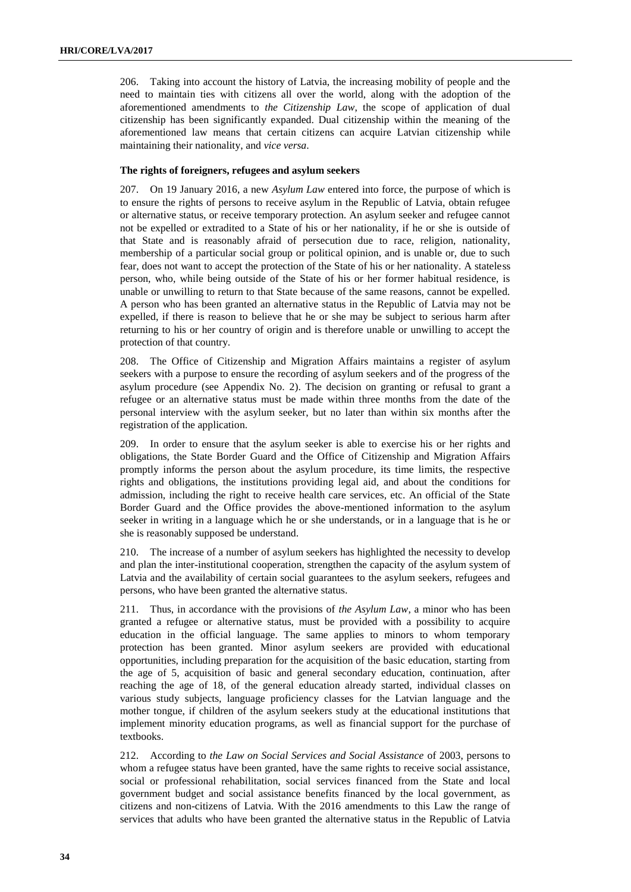206. Taking into account the history of Latvia, the increasing mobility of people and the need to maintain ties with citizens all over the world, along with the adoption of the aforementioned amendments to *the Citizenship Law*, the scope of application of dual citizenship has been significantly expanded. Dual citizenship within the meaning of the aforementioned law means that certain citizens can acquire Latvian citizenship while maintaining their nationality, and *vice versa*.

#### **The rights of foreigners, refugees and asylum seekers**

207. On 19 January 2016, a new *Asylum Law* entered into force, the purpose of which is to ensure the rights of persons to receive asylum in the Republic of Latvia, obtain refugee or alternative status, or receive temporary protection. An asylum seeker and refugee cannot not be expelled or extradited to a State of his or her nationality, if he or she is outside of that State and is reasonably afraid of persecution due to race, religion, nationality, membership of a particular social group or political opinion, and is unable or, due to such fear, does not want to accept the protection of the State of his or her nationality. A stateless person, who, while being outside of the State of his or her former habitual residence, is unable or unwilling to return to that State because of the same reasons, cannot be expelled. A person who has been granted an alternative status in the Republic of Latvia may not be expelled, if there is reason to believe that he or she may be subject to serious harm after returning to his or her country of origin and is therefore unable or unwilling to accept the protection of that country.

208. The Office of Citizenship and Migration Affairs maintains a register of asylum seekers with a purpose to ensure the recording of asylum seekers and of the progress of the asylum procedure (see Appendix No. 2). The decision on granting or refusal to grant a refugee or an alternative status must be made within three months from the date of the personal interview with the asylum seeker, but no later than within six months after the registration of the application.

209. In order to ensure that the asylum seeker is able to exercise his or her rights and obligations, the State Border Guard and the Office of Citizenship and Migration Affairs promptly informs the person about the asylum procedure, its time limits, the respective rights and obligations, the institutions providing legal aid, and about the conditions for admission, including the right to receive health care services, etc. An official of the State Border Guard and the Office provides the above-mentioned information to the asylum seeker in writing in a language which he or she understands, or in a language that is he or she is reasonably supposed be understand.

210. The increase of a number of asylum seekers has highlighted the necessity to develop and plan the inter-institutional cooperation, strengthen the capacity of the asylum system of Latvia and the availability of certain social guarantees to the asylum seekers, refugees and persons, who have been granted the alternative status.

211. Thus, in accordance with the provisions of *the Asylum Law*, a minor who has been granted a refugee or alternative status, must be provided with a possibility to acquire education in the official language. The same applies to minors to whom temporary protection has been granted. Minor asylum seekers are provided with educational opportunities, including preparation for the acquisition of the basic education, starting from the age of 5, acquisition of basic and general secondary education, continuation, after reaching the age of 18, of the general education already started, individual classes on various study subjects, language proficiency classes for the Latvian language and the mother tongue, if children of the asylum seekers study at the educational institutions that implement minority education programs, as well as financial support for the purchase of textbooks.

212. According to *the Law on Social Services and Social Assistance* of 2003, persons to whom a refugee status have been granted, have the same rights to receive social assistance, social or professional rehabilitation, social services financed from the State and local government budget and social assistance benefits financed by the local government, as citizens and non-citizens of Latvia. With the 2016 amendments to this Law the range of services that adults who have been granted the alternative status in the Republic of Latvia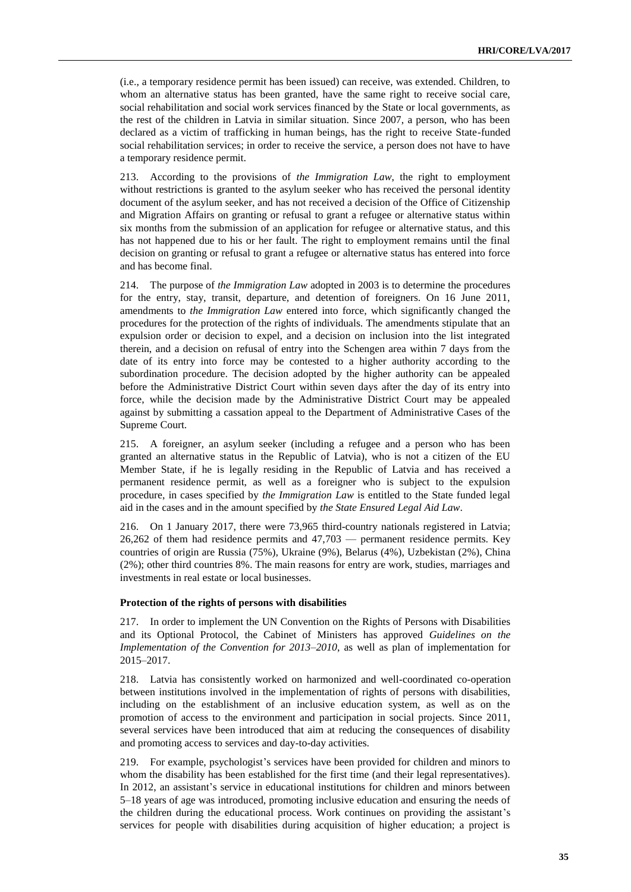(i.e., a temporary residence permit has been issued) can receive, was extended. Children, to whom an alternative status has been granted, have the same right to receive social care, social rehabilitation and social work services financed by the State or local governments, as the rest of the children in Latvia in similar situation. Since 2007, a person, who has been declared as a victim of trafficking in human beings, has the right to receive State-funded social rehabilitation services; in order to receive the service, a person does not have to have a temporary residence permit.

213. According to the provisions of *the Immigration Law*, the right to employment without restrictions is granted to the asylum seeker who has received the personal identity document of the asylum seeker, and has not received a decision of the Office of Citizenship and Migration Affairs on granting or refusal to grant a refugee or alternative status within six months from the submission of an application for refugee or alternative status, and this has not happened due to his or her fault. The right to employment remains until the final decision on granting or refusal to grant a refugee or alternative status has entered into force and has become final.

214. The purpose of *the Immigration Law* adopted in 2003 is to determine the procedures for the entry, stay, transit, departure, and detention of foreigners. On 16 June 2011, amendments to *the Immigration Law* entered into force, which significantly changed the procedures for the protection of the rights of individuals. The amendments stipulate that an expulsion order or decision to expel, and a decision on inclusion into the list integrated therein, and a decision on refusal of entry into the Schengen area within 7 days from the date of its entry into force may be contested to a higher authority according to the subordination procedure. The decision adopted by the higher authority can be appealed before the Administrative District Court within seven days after the day of its entry into force, while the decision made by the Administrative District Court may be appealed against by submitting a cassation appeal to the Department of Administrative Cases of the Supreme Court.

215. A foreigner, an asylum seeker (including a refugee and a person who has been granted an alternative status in the Republic of Latvia), who is not a citizen of the EU Member State, if he is legally residing in the Republic of Latvia and has received a permanent residence permit, as well as a foreigner who is subject to the expulsion procedure, in cases specified by *the Immigration Law* is entitled to the State funded legal aid in the cases and in the amount specified by *the State Ensured Legal Aid Law*.

216. On 1 January 2017, there were 73,965 third-country nationals registered in Latvia; 26,262 of them had residence permits and 47,703 — permanent residence permits. Key countries of origin are Russia (75%), Ukraine (9%), Belarus (4%), Uzbekistan (2%), China (2%); other third countries 8%. The main reasons for entry are work, studies, marriages and investments in real estate or local businesses.

#### **Protection of the rights of persons with disabilities**

217. In order to implement the UN Convention on the Rights of Persons with Disabilities and its Optional Protocol, the Cabinet of Ministers has approved *Guidelines on the Implementation of the Convention for 2013–2010*, as well as plan of implementation for 2015–2017.

218. Latvia has consistently worked on harmonized and well-coordinated co-operation between institutions involved in the implementation of rights of persons with disabilities, including on the establishment of an inclusive education system, as well as on the promotion of access to the environment and participation in social projects. Since 2011, several services have been introduced that aim at reducing the consequences of disability and promoting access to services and day-to-day activities.

219. For example, psychologist's services have been provided for children and minors to whom the disability has been established for the first time (and their legal representatives). In 2012, an assistant's service in educational institutions for children and minors between 5–18 years of age was introduced, promoting inclusive education and ensuring the needs of the children during the educational process. Work continues on providing the assistant's services for people with disabilities during acquisition of higher education; a project is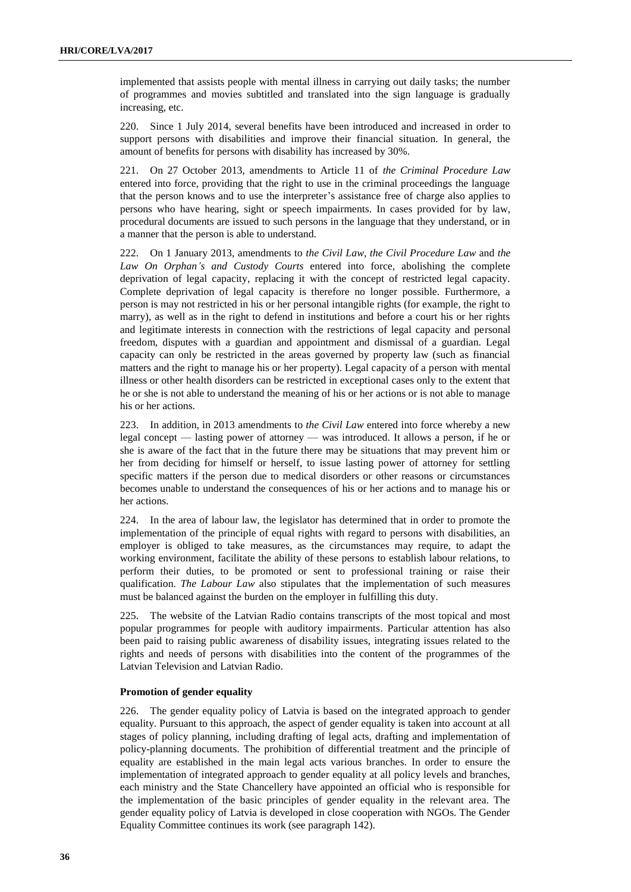implemented that assists people with mental illness in carrying out daily tasks; the number of programmes and movies subtitled and translated into the sign language is gradually increasing, etc.

220. Since 1 July 2014, several benefits have been introduced and increased in order to support persons with disabilities and improve their financial situation. In general, the amount of benefits for persons with disability has increased by 30%.

221. On 27 October 2013, amendments to Article 11 of *the Criminal Procedure Law* entered into force, providing that the right to use in the criminal proceedings the language that the person knows and to use the interpreter's assistance free of charge also applies to persons who have hearing, sight or speech impairments. In cases provided for by law, procedural documents are issued to such persons in the language that they understand, or in a manner that the person is able to understand.

222. On 1 January 2013, amendments to *the Civil Law*, *the Civil Procedure Law* and *the Law On Orphan's and Custody Courts* entered into force, abolishing the complete deprivation of legal capacity, replacing it with the concept of restricted legal capacity. Complete deprivation of legal capacity is therefore no longer possible. Furthermore, a person is may not restricted in his or her personal intangible rights (for example, the right to marry), as well as in the right to defend in institutions and before a court his or her rights and legitimate interests in connection with the restrictions of legal capacity and personal freedom, disputes with a guardian and appointment and dismissal of a guardian. Legal capacity can only be restricted in the areas governed by property law (such as financial matters and the right to manage his or her property). Legal capacity of a person with mental illness or other health disorders can be restricted in exceptional cases only to the extent that he or she is not able to understand the meaning of his or her actions or is not able to manage his or her actions.

223. In addition, in 2013 amendments to *the Civil Law* entered into force whereby a new legal concept — lasting power of attorney — was introduced. It allows a person, if he or she is aware of the fact that in the future there may be situations that may prevent him or her from deciding for himself or herself, to issue lasting power of attorney for settling specific matters if the person due to medical disorders or other reasons or circumstances becomes unable to understand the consequences of his or her actions and to manage his or her actions.

224. In the area of labour law, the legislator has determined that in order to promote the implementation of the principle of equal rights with regard to persons with disabilities, an employer is obliged to take measures, as the circumstances may require, to adapt the working environment, facilitate the ability of these persons to establish labour relations, to perform their duties, to be promoted or sent to professional training or raise their qualification. *The Labour Law* also stipulates that the implementation of such measures must be balanced against the burden on the employer in fulfilling this duty.

225. The website of the Latvian Radio contains transcripts of the most topical and most popular programmes for people with auditory impairments. Particular attention has also been paid to raising public awareness of disability issues, integrating issues related to the rights and needs of persons with disabilities into the content of the programmes of the Latvian Television and Latvian Radio.

#### **Promotion of gender equality**

226. The gender equality policy of Latvia is based on the integrated approach to gender equality. Pursuant to this approach, the aspect of gender equality is taken into account at all stages of policy planning, including drafting of legal acts, drafting and implementation of policy-planning documents. The prohibition of differential treatment and the principle of equality are established in the main legal acts various branches. In order to ensure the implementation of integrated approach to gender equality at all policy levels and branches, each ministry and the State Chancellery have appointed an official who is responsible for the implementation of the basic principles of gender equality in the relevant area. The gender equality policy of Latvia is developed in close cooperation with NGOs. The Gender Equality Committee continues its work (see paragraph 142).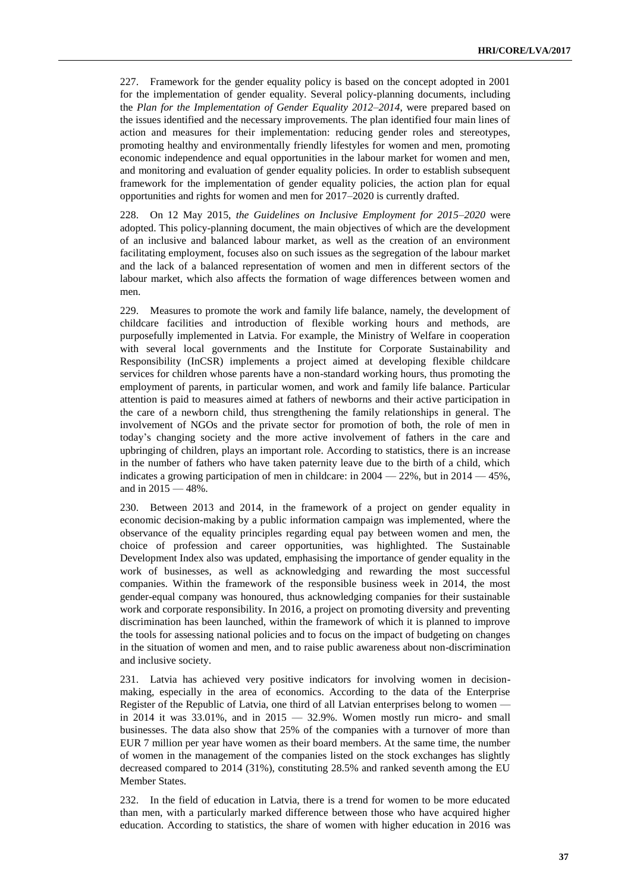227. Framework for the gender equality policy is based on the concept adopted in 2001 for the implementation of gender equality. Several policy-planning documents, including the *Plan for the Implementation of Gender Equality 2012–2014*, were prepared based on the issues identified and the necessary improvements. The plan identified four main lines of action and measures for their implementation: reducing gender roles and stereotypes, promoting healthy and environmentally friendly lifestyles for women and men, promoting economic independence and equal opportunities in the labour market for women and men, and monitoring and evaluation of gender equality policies. In order to establish subsequent framework for the implementation of gender equality policies, the action plan for equal opportunities and rights for women and men for 2017–2020 is currently drafted.

228. On 12 May 2015, *the Guidelines on Inclusive Employment for 2015–2020* were adopted. This policy-planning document, the main objectives of which are the development of an inclusive and balanced labour market, as well as the creation of an environment facilitating employment, focuses also on such issues as the segregation of the labour market and the lack of a balanced representation of women and men in different sectors of the labour market, which also affects the formation of wage differences between women and men.

229. Measures to promote the work and family life balance, namely, the development of childcare facilities and introduction of flexible working hours and methods, are purposefully implemented in Latvia. For example, the Ministry of Welfare in cooperation with several local governments and the Institute for Corporate Sustainability and Responsibility (InCSR) implements a project aimed at developing flexible childcare services for children whose parents have a non-standard working hours, thus promoting the employment of parents, in particular women, and work and family life balance. Particular attention is paid to measures aimed at fathers of newborns and their active participation in the care of a newborn child, thus strengthening the family relationships in general. The involvement of NGOs and the private sector for promotion of both, the role of men in today's changing society and the more active involvement of fathers in the care and upbringing of children, plays an important role. According to statistics, there is an increase in the number of fathers who have taken paternity leave due to the birth of a child, which indicates a growing participation of men in childcare: in  $2004 - 22\%$ , but in  $2014 - 45\%$ , and in 2015 — 48%.

230. Between 2013 and 2014, in the framework of a project on gender equality in economic decision-making by a public information campaign was implemented, where the observance of the equality principles regarding equal pay between women and men, the choice of profession and career opportunities, was highlighted. The Sustainable Development Index also was updated, emphasising the importance of gender equality in the work of businesses, as well as acknowledging and rewarding the most successful companies. Within the framework of the responsible business week in 2014, the most gender-equal company was honoured, thus acknowledging companies for their sustainable work and corporate responsibility. In 2016, a project on promoting diversity and preventing discrimination has been launched, within the framework of which it is planned to improve the tools for assessing national policies and to focus on the impact of budgeting on changes in the situation of women and men, and to raise public awareness about non-discrimination and inclusive society.

231. Latvia has achieved very positive indicators for involving women in decisionmaking, especially in the area of economics. According to the data of the Enterprise Register of the Republic of Latvia, one third of all Latvian enterprises belong to women in 2014 it was  $33.01\%$ , and in  $2015 - 32.9\%$ . Women mostly run micro- and small businesses. The data also show that 25% of the companies with a turnover of more than EUR 7 million per year have women as their board members. At the same time, the number of women in the management of the companies listed on the stock exchanges has slightly decreased compared to 2014 (31%), constituting 28.5% and ranked seventh among the EU Member States.

232. In the field of education in Latvia, there is a trend for women to be more educated than men, with a particularly marked difference between those who have acquired higher education. According to statistics, the share of women with higher education in 2016 was